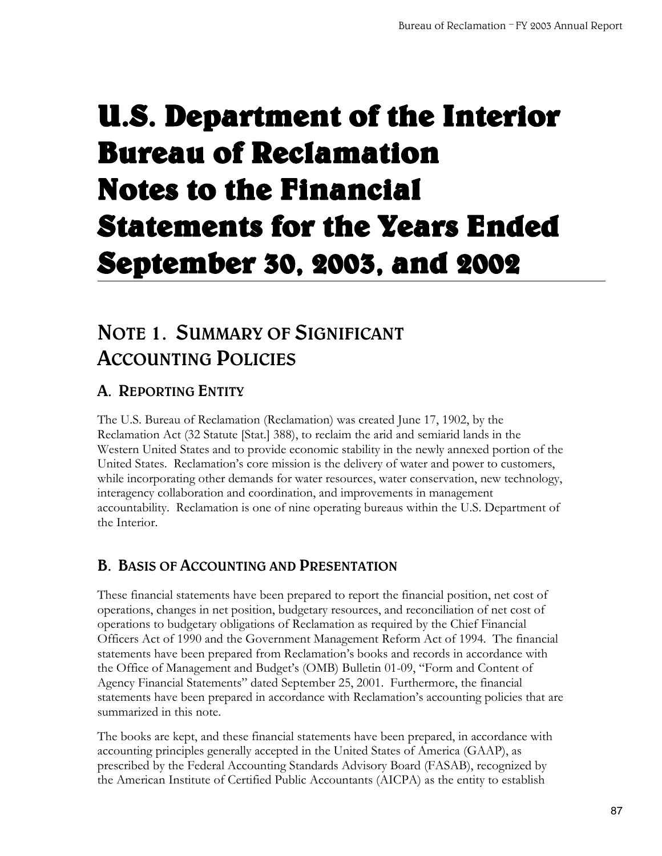# [U.S. Department of the Interior](#page-4-0)  Bureau of Reclamation Notes to the Financial Statements for the Years Ended September 30, 2003, and 2002

## **NOTE 1. SUMMARY OF SIGNIFICANT ACCOUNTING POLICIES**

## **A. REPORTING ENTITY**

The U.S. Bureau of Reclamation (Reclamation) was created June 17, 1902, by the Reclamation Act (32 Statute [Stat.] 388), to reclaim the arid and semiarid lands in the Western United States and to provide economic stability in the newly annexed portion of the United States. Reclamation's core mission is the delivery of water and power to customers, while incorporating other demands for water resources, water conservation, new technology, interagency collaboration and coordination, and improvements in management accountability. Reclamation is one of nine operating bureaus within the U.S. Department of the Interior.

## **B. BASIS OF ACCOUNTING AND PRESENTATION**

These financial statements have been prepared to report the financial position, net cost of operations, changes in net position, budgetary resources, and reconciliation of net cost of operations to budgetary obligations of Reclamation as required by the Chief Financial Officers Act of 1990 and the Government Management Reform Act of 1994. The financial statements have been prepared from Reclamation's books and records in accordance with the Office of Management and Budget's (OMB) Bulletin 01-09, "Form and Content of Agency Financial Statements" dated September 25, 2001. Furthermore, the financial statements have been prepared in accordance with Reclamation's accounting policies that are summarized in this note.

The books are kept, and these financial statements have been prepared, in accordance with accounting principles generally accepted in the United States of America (GAAP), as prescribed by the Federal Accounting Standards Advisory Board (FASAB), recognized by the American Institute of Certified Public Accountants (AICPA) as the entity to establish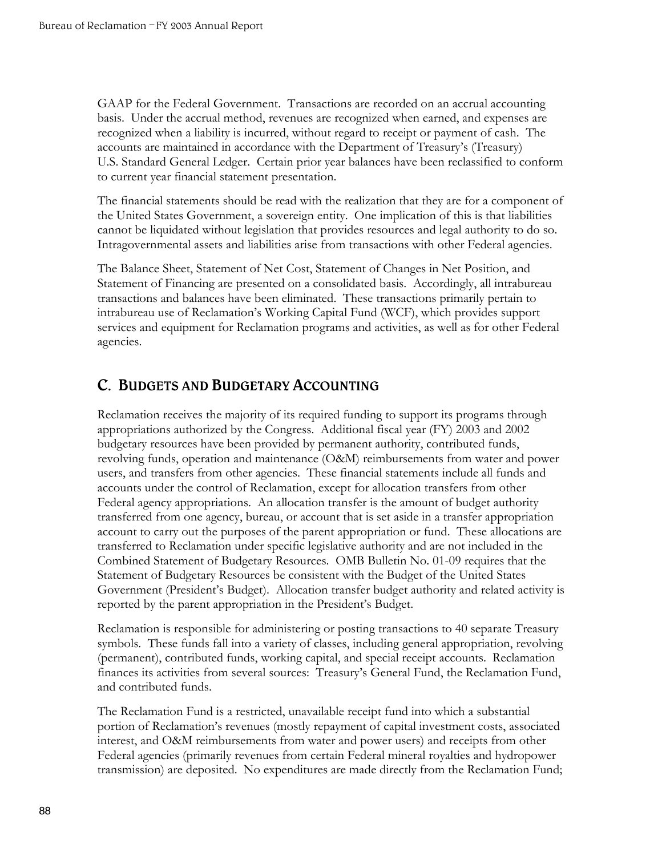GAAP for the Federal Government. Transactions are recorded on an accrual accounting basis. Under the accrual method, revenues are recognized when earned, and expenses are recognized when a liability is incurred, without regard to receipt or payment of cash. The accounts are maintained in accordance with the Department of Treasury's (Treasury) U.S. Standard General Ledger. Certain prior year balances have been reclassified to conform to current year financial statement presentation.

The financial statements should be read with the realization that they are for a component of the United States Government, a sovereign entity. One implication of this is that liabilities cannot be liquidated without legislation that provides resources and legal authority to do so. Intragovernmental assets and liabilities arise from transactions with other Federal agencies.

The Balance Sheet, Statement of Net Cost, Statement of Changes in Net Position, and Statement of Financing are presented on a consolidated basis. Accordingly, all intrabureau transactions and balances have been eliminated. These transactions primarily pertain to intrabureau use of Reclamation's Working Capital Fund (WCF), which provides support services and equipment for Reclamation programs and activities, as well as for other Federal agencies.

### **C. BUDGETS AND BUDGETARY ACCOUNTING**

Reclamation receives the majority of its required funding to support its programs through appropriations authorized by the Congress. Additional fiscal year (FY) 2003 and 2002 budgetary resources have been provided by permanent authority, contributed funds, revolving funds, operation and maintenance (O&M) reimbursements from water and power users, and transfers from other agencies. These financial statements include all funds and accounts under the control of Reclamation, except for allocation transfers from other Federal agency appropriations. An allocation transfer is the amount of budget authority transferred from one agency, bureau, or account that is set aside in a transfer appropriation account to carry out the purposes of the parent appropriation or fund. These allocations are transferred to Reclamation under specific legislative authority and are not included in the Combined Statement of Budgetary Resources. OMB Bulletin No. 01-09 requires that the Statement of Budgetary Resources be consistent with the Budget of the United States Government (President's Budget). Allocation transfer budget authority and related activity is reported by the parent appropriation in the President's Budget.

Reclamation is responsible for administering or posting transactions to 40 separate Treasury symbols. These funds fall into a variety of classes, including general appropriation, revolving (permanent), contributed funds, working capital, and special receipt accounts. Reclamation finances its activities from several sources: Treasury's General Fund, the Reclamation Fund, and contributed funds.

The Reclamation Fund is a restricted, unavailable receipt fund into which a substantial portion of Reclamation's revenues (mostly repayment of capital investment costs, associated interest, and O&M reimbursements from water and power users) and receipts from other Federal agencies (primarily revenues from certain Federal mineral royalties and hydropower transmission) are deposited. No expenditures are made directly from the Reclamation Fund;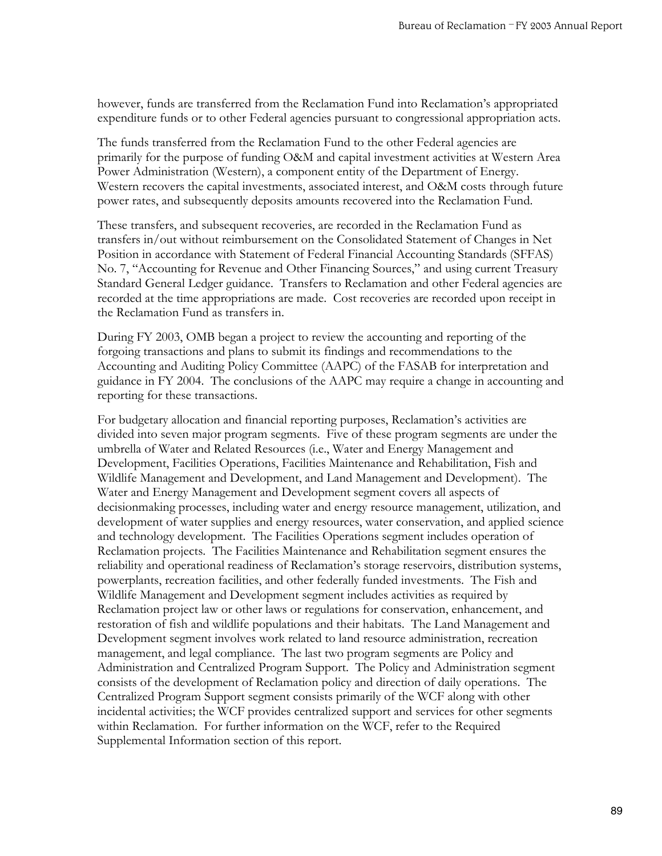however, funds are transferred from the Reclamation Fund into Reclamation's appropriated expenditure funds or to other Federal agencies pursuant to congressional appropriation acts.

The funds transferred from the Reclamation Fund to the other Federal agencies are primarily for the purpose of funding O&M and capital investment activities at Western Area Power Administration (Western), a component entity of the Department of Energy. Western recovers the capital investments, associated interest, and O&M costs through future power rates, and subsequently deposits amounts recovered into the Reclamation Fund.

These transfers, and subsequent recoveries, are recorded in the Reclamation Fund as transfers in/out without reimbursement on the Consolidated Statement of Changes in Net Position in accordance with Statement of Federal Financial Accounting Standards (SFFAS) No. 7, "Accounting for Revenue and Other Financing Sources," and using current Treasury Standard General Ledger guidance. Transfers to Reclamation and other Federal agencies are recorded at the time appropriations are made. Cost recoveries are recorded upon receipt in the Reclamation Fund as transfers in.

During FY 2003, OMB began a project to review the accounting and reporting of the forgoing transactions and plans to submit its findings and recommendations to the Accounting and Auditing Policy Committee (AAPC) of the FASAB for interpretation and guidance in FY 2004. The conclusions of the AAPC may require a change in accounting and reporting for these transactions.

For budgetary allocation and financial reporting purposes, Reclamation's activities are divided into seven major program segments. Five of these program segments are under the umbrella of Water and Related Resources (i.e., Water and Energy Management and Development, Facilities Operations, Facilities Maintenance and Rehabilitation, Fish and Wildlife Management and Development, and Land Management and Development). The Water and Energy Management and Development segment covers all aspects of decisionmaking processes, including water and energy resource management, utilization, and development of water supplies and energy resources, water conservation, and applied science and technology development. The Facilities Operations segment includes operation of Reclamation projects. The Facilities Maintenance and Rehabilitation segment ensures the reliability and operational readiness of Reclamation's storage reservoirs, distribution systems, powerplants, recreation facilities, and other federally funded investments. The Fish and Wildlife Management and Development segment includes activities as required by Reclamation project law or other laws or regulations for conservation, enhancement, and restoration of fish and wildlife populations and their habitats. The Land Management and Development segment involves work related to land resource administration, recreation management, and legal compliance. The last two program segments are Policy and Administration and Centralized Program Support. The Policy and Administration segment consists of the development of Reclamation policy and direction of daily operations. The Centralized Program Support segment consists primarily of the WCF along with other incidental activities; the WCF provides centralized support and services for other segments within Reclamation. For further information on the WCF, refer to the Required Supplemental Information section of this report.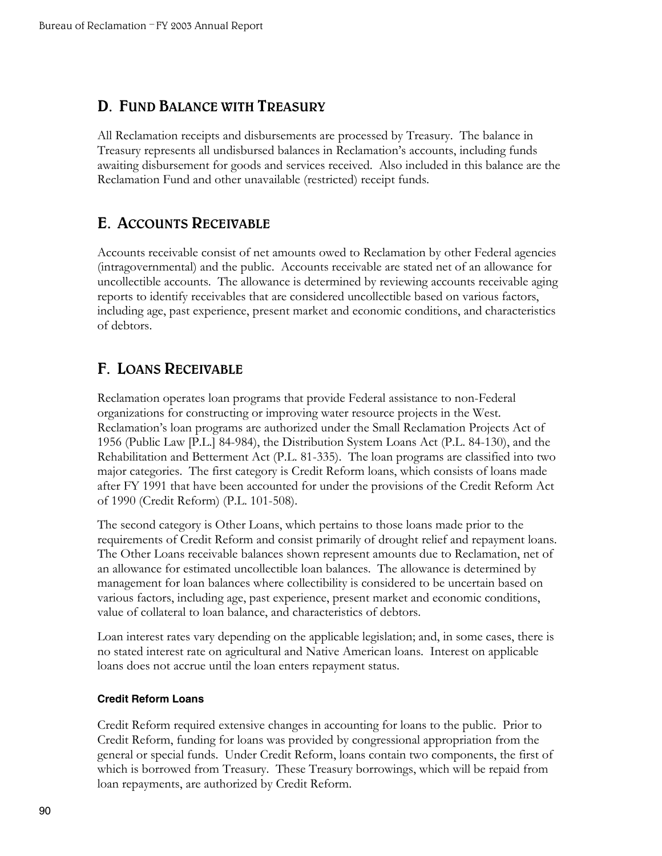### **D. FUND BALANCE WITH TREASURY**

All Reclamation receipts and disbursements are processed by Treasury. The balance in Treasury represents all undisbursed balances in Reclamation's accounts, including funds awaiting disbursement for goods and services received. Also included in this balance are the Reclamation Fund and other unavailable (restricted) receipt funds.

### **E. ACCOUNTS RECEIVABLE**

Accounts receivable consist of net amounts owed to Reclamation by other Federal agencies (intragovernmental) and the public. Accounts receivable are stated net of an allowance for uncollectible accounts. The allowance is determined by reviewing accounts receivable aging reports to identify receivables that are considered uncollectible based on various factors, including age, past experience, present market and economic conditions, and characteristics of debtors.

### **F. LOANS RECEIVABLE**

Reclamation operates loan programs that provide Federal assistance to non-Federal organizations for constructing or improving water resource projects in the West. Reclamation's loan programs are authorized under the Small Reclamation Projects Act of 1956 (Public Law [P.L.] 84-984), the Distribution System Loans Act (P.L. 84-130), and the Rehabilitation and Betterment Act (P.L. 81-335). The loan programs are classified into two major categories. The first category is Credit Reform loans, which consists of loans made after FY 1991 that have been accounted for under the provisions of the Credit Reform Act of 1990 (Credit Reform) (P.L. 101-508).

The second category is Other Loans, which pertains to those loans made prior to the requirements of Credit Reform and consist primarily of drought relief and repayment loans. The Other Loans receivable balances shown represent amounts due to Reclamation, net of an allowance for estimated uncollectible loan balances. The allowance is determined by management for loan balances where collectibility is considered to be uncertain based on various factors, including age, past experience, present market and economic conditions, value of collateral to loan balance, and characteristics of debtors.

Loan interest rates vary depending on the applicable legislation; and, in some cases, there is no stated interest rate on agricultural and Native American loans. Interest on applicable loans does not accrue until the loan enters repayment status.

#### **Credit Reform Loans**

Credit Reform required extensive changes in accounting for loans to the public. Prior to Credit Reform, funding for loans was provided by congressional appropriation from the general or special funds. Under Credit Reform, loans contain two components, the first of which is borrowed from Treasury. These Treasury borrowings, which will be repaid from loan repayments, are authorized by Credit Reform.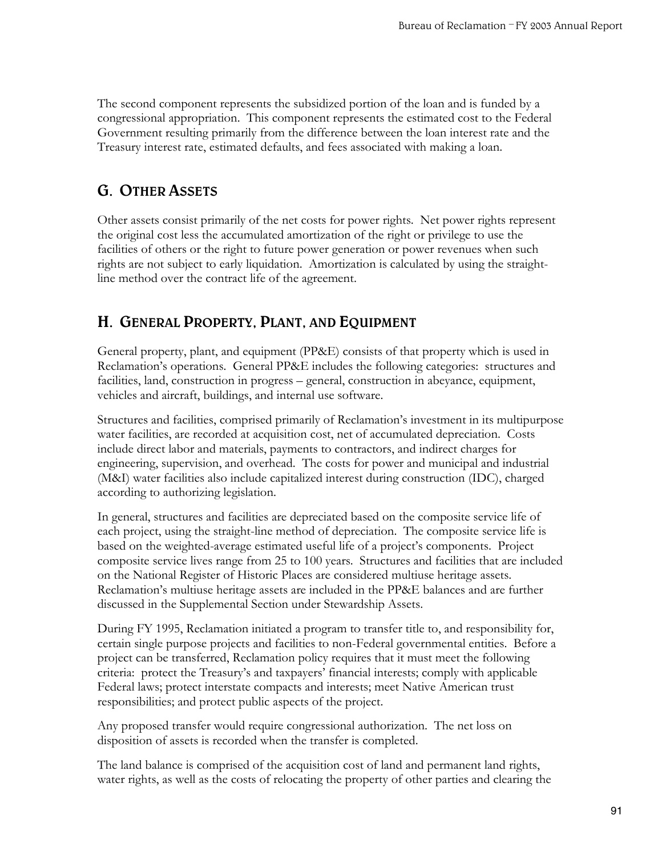<span id="page-4-0"></span>The second component represents the subsidized portion of the loan and is funded by a congressional appropriation. This component represents the estimated cost to the Federal Government resulting primarily from the difference between the loan interest rate and the Treasury interest rate, estimated defaults, and fees associated with making a loan.

### **G. OTHER ASSETS**

Other assets consist primarily of the net costs for power rights. Net power rights represent the original cost less the accumulated amortization of the right or privilege to use the facilities of others or the right to future power generation or power revenues when such rights are not subject to early liquidation. Amortization is calculated by using the straightline method over the contract life of the agreement.

## **H. GENERAL PROPERTY, PLANT, AND EQUIPMENT**

General property, plant, and equipment (PP&E) consists of that property which is used in Reclamation's operations. General PP&E includes the following categories: structures and facilities, land, construction in progress – general, construction in abeyance, equipment, vehicles and aircraft, buildings, and internal use software.

Structures and facilities, comprised primarily of Reclamation's investment in its multipurpose water facilities, are recorded at acquisition cost, net of accumulated depreciation. Costs include direct labor and materials, payments to contractors, and indirect charges for engineering, supervision, and overhead. The costs for power and municipal and industrial (M&I) water facilities also include capitalized interest during construction (IDC), charged according to authorizing legislation.

In general, structures and facilities are depreciated based on the composite service life of each project, using the straight-line method of depreciation. The composite service life is based on the weighted-average estimated useful life of a project's components. Project composite service lives range from 25 to 100 years. Structures and facilities that are included on the National Register of Historic Places are considered multiuse heritage assets. Reclamation's multiuse heritage assets are included in the PP&E balances and are further discussed in the Supplemental Section under Stewardship Assets.

During FY 1995, Reclamation initiated a program to transfer title to, and responsibility for, certain single purpose projects and facilities to non-Federal governmental entities. Before a project can be transferred, Reclamation policy requires that it must meet the following criteria: protect the Treasury's and taxpayers' financial interests; comply with applicable Federal laws; protect interstate compacts and interests; meet Native American trust responsibilities; and protect public aspects of the project.

Any proposed transfer would require congressional authorization. The net loss on disposition of assets is recorded when the transfer is completed.

The land balance is comprised of the acquisition cost of land and permanent land rights, water rights, as well as the costs of relocating the property of other parties and clearing the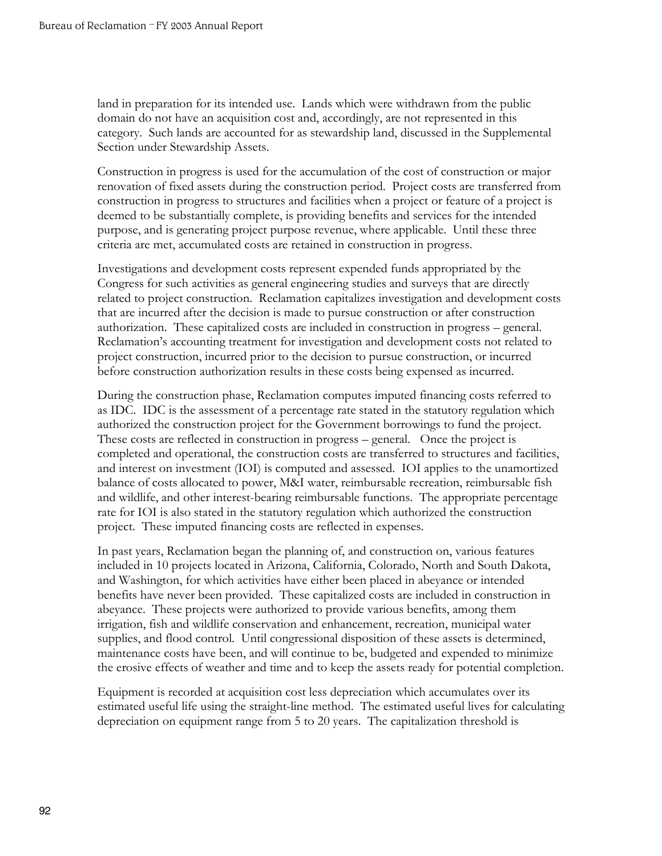land in preparation for its intended use. Lands which were withdrawn from the public domain do not have an acquisition cost and, accordingly, are not represented in this category. Such lands are accounted for as stewardship land, discussed in the Supplemental Section under Stewardship Assets.

Construction in progress is used for the accumulation of the cost of construction or major renovation of fixed assets during the construction period. Project costs are transferred from construction in progress to structures and facilities when a project or feature of a project is deemed to be substantially complete, is providing benefits and services for the intended purpose, and is generating project purpose revenue, where applicable. Until these three criteria are met, accumulated costs are retained in construction in progress.

Investigations and development costs represent expended funds appropriated by the Congress for such activities as general engineering studies and surveys that are directly related to project construction. Reclamation capitalizes investigation and development costs that are incurred after the decision is made to pursue construction or after construction authorization. These capitalized costs are included in construction in progress – general. Reclamation's accounting treatment for investigation and development costs not related to project construction, incurred prior to the decision to pursue construction, or incurred before construction authorization results in these costs being expensed as incurred.

During the construction phase, Reclamation computes imputed financing costs referred to as IDC. IDC is the assessment of a percentage rate stated in the statutory regulation which authorized the construction project for the Government borrowings to fund the project. These costs are reflected in construction in progress – general. Once the project is completed and operational, the construction costs are transferred to structures and facilities, and interest on investment (IOI) is computed and assessed. IOI applies to the unamortized balance of costs allocated to power, M&I water, reimbursable recreation, reimbursable fish and wildlife, and other interest-bearing reimbursable functions. The appropriate percentage rate for IOI is also stated in the statutory regulation which authorized the construction project. These imputed financing costs are reflected in expenses.

In past years, Reclamation began the planning of, and construction on, various features included in 10 projects located in Arizona, California, Colorado, North and South Dakota, and Washington, for which activities have either been placed in abeyance or intended benefits have never been provided. These capitalized costs are included in construction in abeyance. These projects were authorized to provide various benefits, among them irrigation, fish and wildlife conservation and enhancement, recreation, municipal water supplies, and flood control. Until congressional disposition of these assets is determined, maintenance costs have been, and will continue to be, budgeted and expended to minimize the erosive effects of weather and time and to keep the assets ready for potential completion.

Equipment is recorded at acquisition cost less depreciation which accumulates over its estimated useful life using the straight-line method. The estimated useful lives for calculating depreciation on equipment range from 5 to 20 years. The capitalization threshold is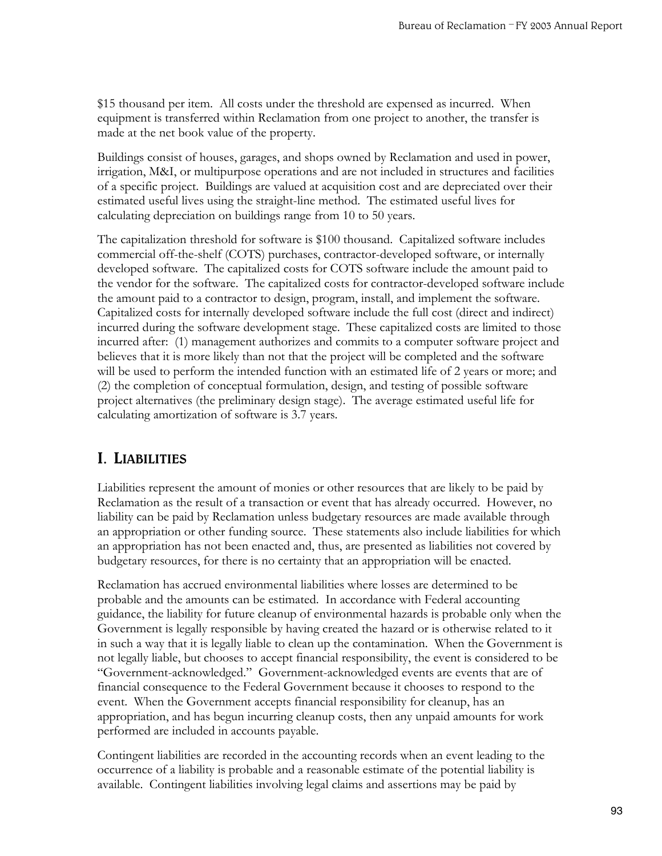\$15 thousand per item. All costs under the threshold are expensed as incurred. When equipment is transferred within Reclamation from one project to another, the transfer is made at the net book value of the property.

Buildings consist of houses, garages, and shops owned by Reclamation and used in power, irrigation, M&I, or multipurpose operations and are not included in structures and facilities of a specific project. Buildings are valued at acquisition cost and are depreciated over their estimated useful lives using the straight-line method. The estimated useful lives for calculating depreciation on buildings range from 10 to 50 years.

The capitalization threshold for software is \$100 thousand. Capitalized software includes commercial off-the-shelf (COTS) purchases, contractor-developed software, or internally developed software. The capitalized costs for COTS software include the amount paid to the vendor for the software. The capitalized costs for contractor-developed software include the amount paid to a contractor to design, program, install, and implement the software. Capitalized costs for internally developed software include the full cost (direct and indirect) incurred during the software development stage. These capitalized costs are limited to those incurred after: (1) management authorizes and commits to a computer software project and believes that it is more likely than not that the project will be completed and the software will be used to perform the intended function with an estimated life of 2 years or more; and (2) the completion of conceptual formulation, design, and testing of possible software project alternatives (the preliminary design stage). The average estimated useful life for calculating amortization of software is 3.7 years.

## **I. LIABILITIES**

Liabilities represent the amount of monies or other resources that are likely to be paid by Reclamation as the result of a transaction or event that has already occurred. However, no liability can be paid by Reclamation unless budgetary resources are made available through an appropriation or other funding source. These statements also include liabilities for which an appropriation has not been enacted and, thus, are presented as liabilities not covered by budgetary resources, for there is no certainty that an appropriation will be enacted.

Reclamation has accrued environmental liabilities where losses are determined to be probable and the amounts can be estimated. In accordance with Federal accounting guidance, the liability for future cleanup of environmental hazards is probable only when the Government is legally responsible by having created the hazard or is otherwise related to it in such a way that it is legally liable to clean up the contamination. When the Government is not legally liable, but chooses to accept financial responsibility, the event is considered to be "Government-acknowledged." Government-acknowledged events are events that are of financial consequence to the Federal Government because it chooses to respond to the event. When the Government accepts financial responsibility for cleanup, has an appropriation, and has begun incurring cleanup costs, then any unpaid amounts for work performed are included in accounts payable.

Contingent liabilities are recorded in the accounting records when an event leading to the occurrence of a liability is probable and a reasonable estimate of the potential liability is available. Contingent liabilities involving legal claims and assertions may be paid by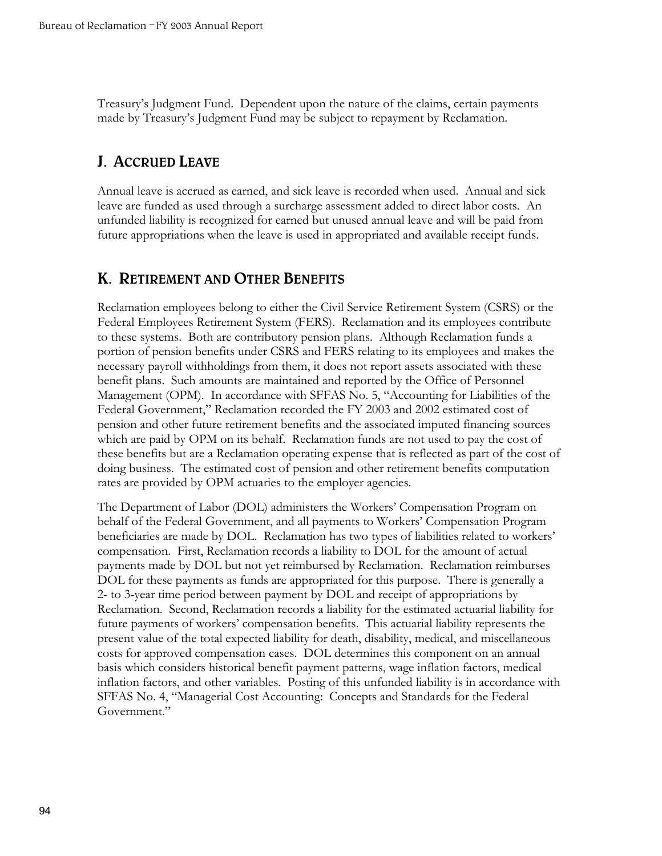Treasury's Judgment Fund. Dependent upon the nature of the claims, certain payments made by Treasury's Judgment Fund may be subject to repayment by Reclamation.

### **J. ACCRUED LEAVE**

Annual leave is accrued as earned, and sick leave is recorded when used. Annual and sick leave are funded as used through a surcharge assessment added to direct labor costs. An unfunded liability is recognized for earned but unused annual leave and will be paid from future appropriations when the leave is used in appropriated and available receipt funds.

### **K. RETIREMENT AND OTHER BENEFITS**

Reclamation employees belong to either the Civil Service Retirement System (CSRS) or the Federal Employees Retirement System (FERS). Reclamation and its employees contribute to these systems. Both are contributory pension plans. Although Reclamation funds a portion of pension benefits under CSRS and FERS relating to its employees and makes the necessary payroll withholdings from them, it does not report assets associated with these benefit plans. Such amounts are maintained and reported by the Office of Personnel Management (OPM). In accordance with SFFAS No. 5, "Accounting for Liabilities of the Federal Government," Reclamation recorded the FY 2003 and 2002 estimated cost of pension and other future retirement benefits and the associated imputed financing sources which are paid by OPM on its behalf. Reclamation funds are not used to pay the cost of these benefits but are a Reclamation operating expense that is reflected as part of the cost of doing business. The estimated cost of pension and other retirement benefits computation rates are provided by OPM actuaries to the employer agencies.

The Department of Labor (DOL) administers the Workers' Compensation Program on behalf of the Federal Government, and all payments to Workers' Compensation Program beneficiaries are made by DOL. Reclamation has two types of liabilities related to workers' compensation. First, Reclamation records a liability to DOL for the amount of actual payments made by DOL but not yet reimbursed by Reclamation. Reclamation reimburses DOL for these payments as funds are appropriated for this purpose. There is generally a 2- to 3-year time period between payment by DOL and receipt of appropriations by Reclamation. Second, Reclamation records a liability for the estimated actuarial liability for future payments of workers' compensation benefits. This actuarial liability represents the present value of the total expected liability for death, disability, medical, and miscellaneous costs for approved compensation cases. DOL determines this component on an annual basis which considers historical benefit payment patterns, wage inflation factors, medical inflation factors, and other variables. Posting of this unfunded liability is in accordance with SFFAS No. 4, "Managerial Cost Accounting: Concepts and Standards for the Federal Government."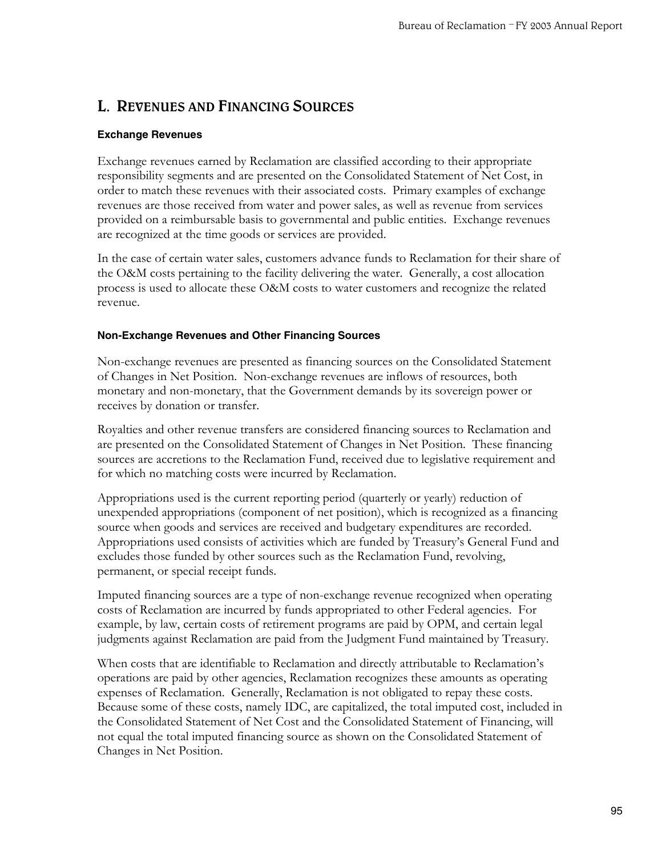## **L. REVENUES AND FINANCING SOURCES**

#### **Exchange Revenues**

Exchange revenues earned by Reclamation are classified according to their appropriate responsibility segments and are presented on the Consolidated Statement of Net Cost, in order to match these revenues with their associated costs. Primary examples of exchange revenues are those received from water and power sales, as well as revenue from services provided on a reimbursable basis to governmental and public entities. Exchange revenues are recognized at the time goods or services are provided.

In the case of certain water sales, customers advance funds to Reclamation for their share of the O&M costs pertaining to the facility delivering the water. Generally, a cost allocation process is used to allocate these O&M costs to water customers and recognize the related revenue.

#### **Non-Exchange Revenues and Other Financing Sources**

Non-exchange revenues are presented as financing sources on the Consolidated Statement of Changes in Net Position. Non-exchange revenues are inflows of resources, both monetary and non-monetary, that the Government demands by its sovereign power or receives by donation or transfer.

Royalties and other revenue transfers are considered financing sources to Reclamation and are presented on the Consolidated Statement of Changes in Net Position. These financing sources are accretions to the Reclamation Fund, received due to legislative requirement and for which no matching costs were incurred by Reclamation.

Appropriations used is the current reporting period (quarterly or yearly) reduction of unexpended appropriations (component of net position), which is recognized as a financing source when goods and services are received and budgetary expenditures are recorded. Appropriations used consists of activities which are funded by Treasury's General Fund and excludes those funded by other sources such as the Reclamation Fund, revolving, permanent, or special receipt funds.

Imputed financing sources are a type of non-exchange revenue recognized when operating costs of Reclamation are incurred by funds appropriated to other Federal agencies. For example, by law, certain costs of retirement programs are paid by OPM, and certain legal judgments against Reclamation are paid from the Judgment Fund maintained by Treasury.

When costs that are identifiable to Reclamation and directly attributable to Reclamation's operations are paid by other agencies, Reclamation recognizes these amounts as operating expenses of Reclamation. Generally, Reclamation is not obligated to repay these costs. Because some of these costs, namely IDC, are capitalized, the total imputed cost, included in the Consolidated Statement of Net Cost and the Consolidated Statement of Financing, will not equal the total imputed financing source as shown on the Consolidated Statement of Changes in Net Position.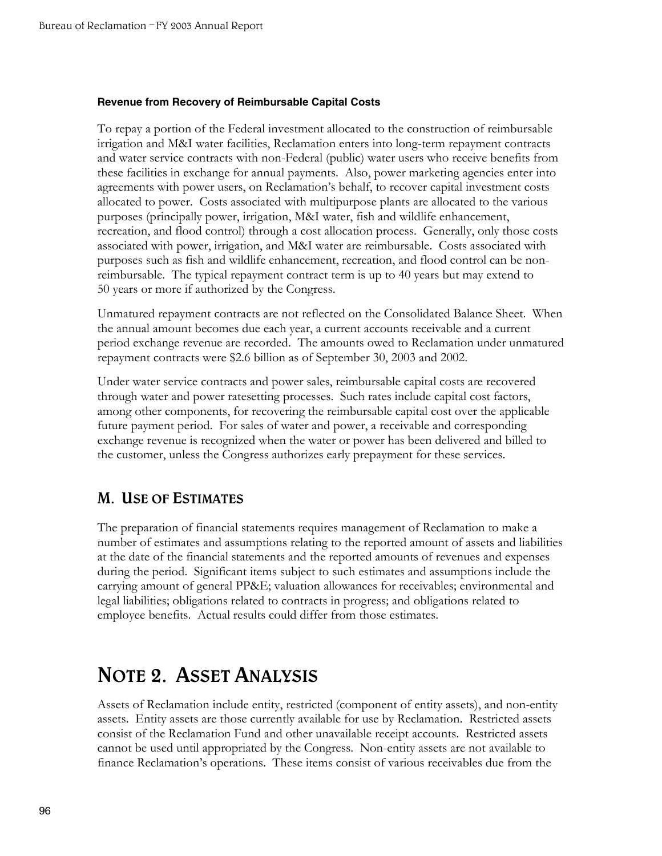#### **Revenue from Recovery of Reimbursable Capital Costs**

To repay a portion of the Federal investment allocated to the construction of reimbursable irrigation and M&I water facilities, Reclamation enters into long-term repayment contracts and water service contracts with non-Federal (public) water users who receive benefits from these facilities in exchange for annual payments. Also, power marketing agencies enter into agreements with power users, on Reclamation's behalf, to recover capital investment costs allocated to power. Costs associated with multipurpose plants are allocated to the various purposes (principally power, irrigation, M&I water, fish and wildlife enhancement, recreation, and flood control) through a cost allocation process. Generally, only those costs associated with power, irrigation, and M&I water are reimbursable. Costs associated with purposes such as fish and wildlife enhancement, recreation, and flood control can be nonreimbursable. The typical repayment contract term is up to 40 years but may extend to 50 years or more if authorized by the Congress.

Unmatured repayment contracts are not reflected on the Consolidated Balance Sheet. When the annual amount becomes due each year, a current accounts receivable and a current period exchange revenue are recorded. The amounts owed to Reclamation under unmatured repayment contracts were \$2.6 billion as of September 30, 2003 and 2002.

Under water service contracts and power sales, reimbursable capital costs are recovered through water and power ratesetting processes. Such rates include capital cost factors, among other components, for recovering the reimbursable capital cost over the applicable future payment period. For sales of water and power, a receivable and corresponding exchange revenue is recognized when the water or power has been delivered and billed to the customer, unless the Congress authorizes early prepayment for these services.

### **M. USE OF ESTIMATES**

The preparation of financial statements requires management of Reclamation to make a number of estimates and assumptions relating to the reported amount of assets and liabilities at the date of the financial statements and the reported amounts of revenues and expenses during the period. Significant items subject to such estimates and assumptions include the carrying amount of general PP&E; valuation allowances for receivables; environmental and legal liabilities; obligations related to contracts in progress; and obligations related to employee benefits. Actual results could differ from those estimates.

## **NOTE 2. ASSET ANALYSIS**

Assets of Reclamation include entity, restricted (component of entity assets), and non-entity assets. Entity assets are those currently available for use by Reclamation. Restricted assets consist of the Reclamation Fund and other unavailable receipt accounts. Restricted assets cannot be used until appropriated by the Congress. Non-entity assets are not available to finance Reclamation's operations. These items consist of various receivables due from the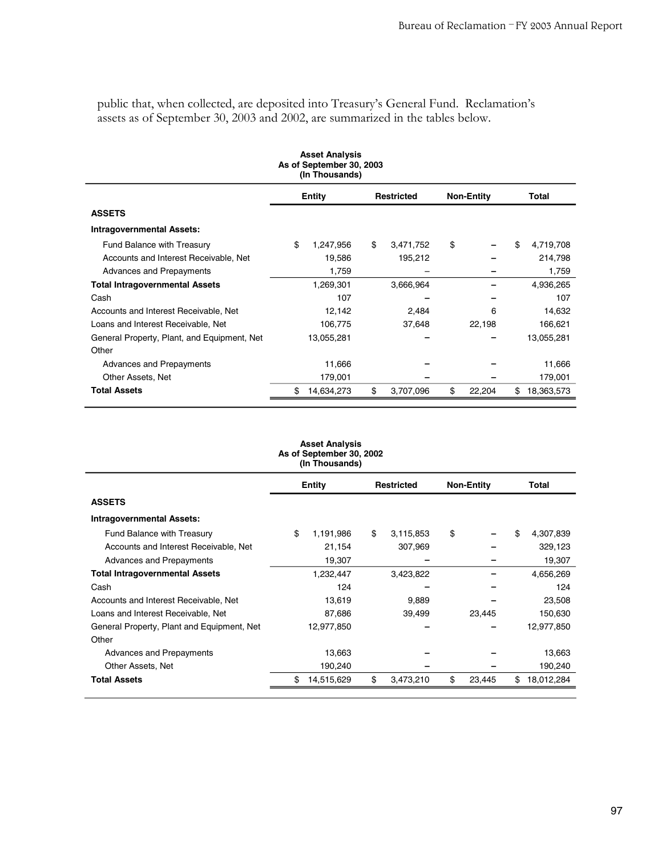public that, when collected, are deposited into Treasury's General Fund. Reclamation's assets as of September 30, 2003 and 2002, are summarized in the tables below.

| <b>Asset Analysis</b><br>As of September 30, 2003<br>(In Thousands) |               |            |    |                   |    |                   |    |            |  |  |  |  |
|---------------------------------------------------------------------|---------------|------------|----|-------------------|----|-------------------|----|------------|--|--|--|--|
|                                                                     | <b>Entity</b> |            |    | <b>Restricted</b> |    | <b>Non-Entity</b> |    | Total      |  |  |  |  |
| <b>ASSETS</b>                                                       |               |            |    |                   |    |                   |    |            |  |  |  |  |
| <b>Intragovernmental Assets:</b>                                    |               |            |    |                   |    |                   |    |            |  |  |  |  |
| Fund Balance with Treasury                                          | \$            | 1,247,956  | \$ | 3,471,752         | \$ |                   | \$ | 4,719,708  |  |  |  |  |
| Accounts and Interest Receivable, Net                               |               | 19,586     |    | 195,212           |    |                   |    | 214,798    |  |  |  |  |
| Advances and Prepayments                                            |               | 1,759      |    |                   |    |                   |    | 1,759      |  |  |  |  |
| <b>Total Intragovernmental Assets</b>                               |               | 1,269,301  |    | 3,666,964         |    |                   |    | 4,936,265  |  |  |  |  |
| Cash                                                                |               | 107        |    |                   |    |                   |    | 107        |  |  |  |  |
| Accounts and Interest Receivable, Net                               |               | 12,142     |    | 2,484             |    | 6                 |    | 14,632     |  |  |  |  |
| Loans and Interest Receivable, Net                                  |               | 106,775    |    | 37,648            |    | 22,198            |    | 166,621    |  |  |  |  |
| General Property, Plant, and Equipment, Net                         |               | 13,055,281 |    |                   |    |                   |    | 13,055,281 |  |  |  |  |
| Other                                                               |               |            |    |                   |    |                   |    |            |  |  |  |  |
| Advances and Prepayments                                            |               | 11,666     |    |                   |    |                   |    | 11,666     |  |  |  |  |
| Other Assets, Net                                                   |               | 179,001    |    |                   |    |                   |    | 179,001    |  |  |  |  |
| <b>Total Assets</b>                                                 | \$            | 14,634,273 | \$ | 3,707,096         | \$ | 22,204            | \$ | 18,363,573 |  |  |  |  |

| <b>Asset Analysis</b><br>As of September 30, 2002<br>(In Thousands) |                  |         |            |    |                   |    |            |  |  |  |  |  |
|---------------------------------------------------------------------|------------------|---------|------------|----|-------------------|----|------------|--|--|--|--|--|
|                                                                     | <b>Entity</b>    |         | Restricted |    | <b>Non-Entity</b> |    | Total      |  |  |  |  |  |
| <b>ASSETS</b>                                                       |                  |         |            |    |                   |    |            |  |  |  |  |  |
| <b>Intragovernmental Assets:</b>                                    |                  |         |            |    |                   |    |            |  |  |  |  |  |
| Fund Balance with Treasury                                          | \$<br>1,191,986  | \$      | 3,115,853  | \$ |                   | \$ | 4,307,839  |  |  |  |  |  |
| Accounts and Interest Receivable, Net                               |                  | 21,154  | 307,969    |    |                   |    | 329,123    |  |  |  |  |  |
| Advances and Prepayments                                            |                  | 19,307  |            |    |                   |    | 19,307     |  |  |  |  |  |
| <b>Total Intragovernmental Assets</b>                               | 1,232,447        |         | 3,423,822  |    |                   |    | 4,656,269  |  |  |  |  |  |
| Cash                                                                |                  | 124     |            |    |                   |    | 124        |  |  |  |  |  |
| Accounts and Interest Receivable, Net                               |                  | 13,619  | 9,889      |    |                   |    | 23,508     |  |  |  |  |  |
| Loans and Interest Receivable, Net                                  |                  | 87,686  | 39,499     |    | 23,445            |    | 150,630    |  |  |  |  |  |
| General Property, Plant and Equipment, Net                          | 12,977,850       |         |            |    |                   |    | 12,977,850 |  |  |  |  |  |
| Other                                                               |                  |         |            |    |                   |    |            |  |  |  |  |  |
| Advances and Prepayments                                            |                  | 13,663  |            |    |                   |    | 13,663     |  |  |  |  |  |
| Other Assets, Net                                                   |                  | 190,240 |            |    |                   |    | 190,240    |  |  |  |  |  |
| <b>Total Assets</b>                                                 | \$<br>14,515,629 | \$      | 3,473,210  | \$ | 23,445            | \$ | 18,012,284 |  |  |  |  |  |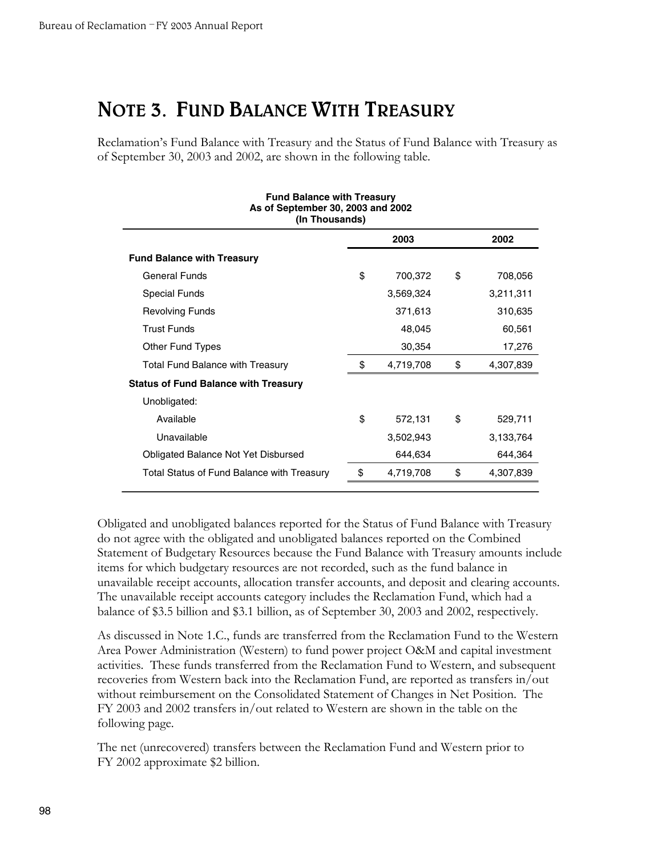## **NOTE 3. FUND BALANCE WITH TREASURY**

Reclamation's Fund Balance with Treasury and the Status of Fund Balance with Treasury as of September 30, 2003 and 2002, are shown in the following table.

| <b>Fund Balance with Treasury</b><br>As of September 30, 2003 and 2002<br>(In Thousands) |    |           |    |           |  |  |  |  |  |  |
|------------------------------------------------------------------------------------------|----|-----------|----|-----------|--|--|--|--|--|--|
| 2003<br>2002                                                                             |    |           |    |           |  |  |  |  |  |  |
| <b>Fund Balance with Treasury</b>                                                        |    |           |    |           |  |  |  |  |  |  |
| <b>General Funds</b>                                                                     | \$ | 700,372   | \$ | 708,056   |  |  |  |  |  |  |
| <b>Special Funds</b>                                                                     |    | 3,569,324 |    | 3,211,311 |  |  |  |  |  |  |
| <b>Revolving Funds</b>                                                                   |    | 371,613   |    | 310,635   |  |  |  |  |  |  |
| <b>Trust Funds</b>                                                                       |    | 48,045    |    | 60,561    |  |  |  |  |  |  |
| <b>Other Fund Types</b>                                                                  |    | 30,354    |    | 17,276    |  |  |  |  |  |  |
| <b>Total Fund Balance with Treasury</b>                                                  | \$ | 4,719,708 | \$ | 4,307,839 |  |  |  |  |  |  |
| <b>Status of Fund Balance with Treasury</b>                                              |    |           |    |           |  |  |  |  |  |  |
| Unobligated:                                                                             |    |           |    |           |  |  |  |  |  |  |
| Available                                                                                | \$ | 572,131   | \$ | 529,711   |  |  |  |  |  |  |
| Unavailable                                                                              |    | 3,502,943 |    | 3,133,764 |  |  |  |  |  |  |
| Obligated Balance Not Yet Disbursed                                                      |    | 644,634   |    | 644,364   |  |  |  |  |  |  |
| Total Status of Fund Balance with Treasury                                               | S  | 4,719,708 | \$ | 4,307,839 |  |  |  |  |  |  |

Obligated and unobligated balances reported for the Status of Fund Balance with Treasury do not agree with the obligated and unobligated balances reported on the Combined Statement of Budgetary Resources because the Fund Balance with Treasury amounts include items for which budgetary resources are not recorded, such as the fund balance in unavailable receipt accounts, allocation transfer accounts, and deposit and clearing accounts. The unavailable receipt accounts category includes the Reclamation Fund, which had a balance of \$3.5 billion and \$3.1 billion, as of September 30, 2003 and 2002, respectively.

As discussed in Note 1.C., funds are transferred from the Reclamation Fund to the Western Area Power Administration (Western) to fund power project O&M and capital investment activities. These funds transferred from the Reclamation Fund to Western, and subsequent recoveries from Western back into the Reclamation Fund, are reported as transfers in/out without reimbursement on the Consolidated Statement of Changes in Net Position. The FY 2003 and 2002 transfers in/out related to Western are shown in the table on the following page.

The net (unrecovered) transfers between the Reclamation Fund and Western prior to FY 2002 approximate \$2 billion.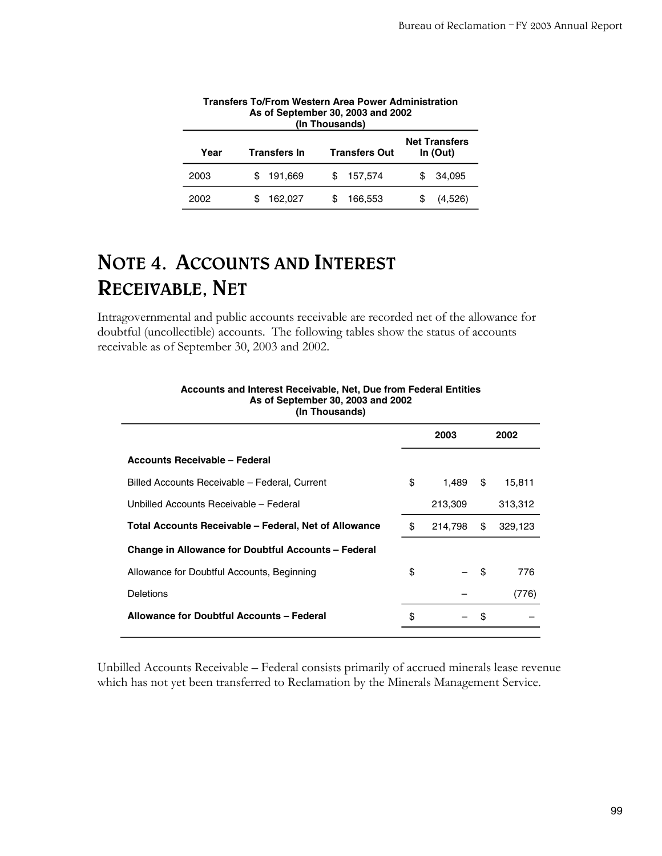| AS OF SEPTEMBER 30, 2003 AND 2002<br>(In Thousands)                                     |         |                |         |  |  |  |  |  |  |  |
|-----------------------------------------------------------------------------------------|---------|----------------|---------|--|--|--|--|--|--|--|
| <b>Net Transfers</b><br><b>Transfers Out</b><br><b>Transfers In</b><br>Year<br>In (Out) |         |                |         |  |  |  |  |  |  |  |
| 2003                                                                                    | 191,669 | 157,574<br>\$. | 34.095  |  |  |  |  |  |  |  |
| 2002                                                                                    | 162,027 | 166.553        | (4,526) |  |  |  |  |  |  |  |

| <b>Transfers To/From Western Area Power Administration</b> |
|------------------------------------------------------------|
| As of September 30, 2003 and 2002                          |
| (In Thousands)                                             |
| Net Tuenefeu                                               |

## **NOTE 4. ACCOUNTS AND INTEREST RECEIVABLE, NET**

Intragovernmental and public accounts receivable are recorded net of the allowance for doubtful (uncollectible) accounts. The following tables show the status of accounts receivable as of September 30, 2003 and 2002.

| 11111000011007                                             |               |     |         |
|------------------------------------------------------------|---------------|-----|---------|
|                                                            | 2003          |     | 2002    |
| Accounts Receivable - Federal                              |               |     |         |
| Billed Accounts Receivable - Federal, Current              | \$<br>1.489   | \$  | 15,811  |
| Unbilled Accounts Receivable - Federal                     | 213,309       |     | 313,312 |
| Total Accounts Receivable – Federal, Net of Allowance      | \$<br>214,798 | \$  | 329,123 |
| <b>Change in Allowance for Doubtful Accounts - Federal</b> |               |     |         |
| Allowance for Doubtful Accounts, Beginning                 | \$            | -\$ | 776     |
| <b>Deletions</b>                                           |               |     | (776)   |
| Allowance for Doubtful Accounts - Federal                  | \$            | \$  |         |
|                                                            |               |     |         |

#### **Accounts and Interest Receivable, Net, Due from Federal Entities As of September 30, 2003 and 2002 (In Thousands)**

Unbilled Accounts Receivable – Federal consists primarily of accrued minerals lease revenue which has not yet been transferred to Reclamation by the Minerals Management Service.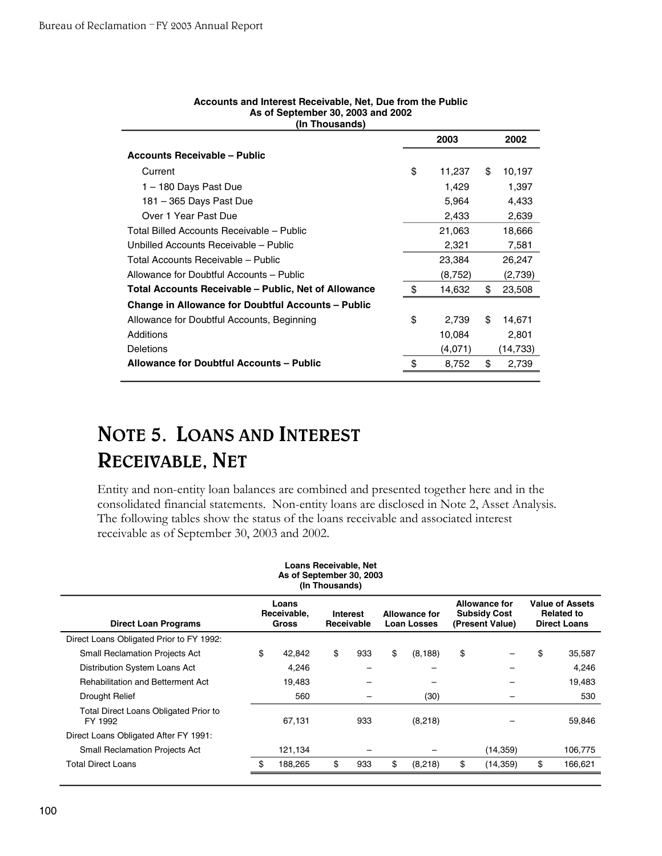|                                                           | 2003         | 2002         |
|-----------------------------------------------------------|--------------|--------------|
| <b>Accounts Receivable - Public</b>                       |              |              |
| Current                                                   | \$<br>11,237 | \$<br>10,197 |
| 1 - 180 Days Past Due                                     | 1,429        | 1,397        |
| 181 - 365 Days Past Due                                   | 5,964        | 4,433        |
| Over 1 Year Past Due                                      | 2,433        | 2,639        |
| Total Billed Accounts Receivable - Public                 | 21,063       | 18,666       |
| Unbilled Accounts Receivable - Public                     | 2,321        | 7,581        |
| Total Accounts Receivable - Public                        | 23,384       | 26,247       |
| Allowance for Doubtful Accounts - Public                  | (8,752)      | (2,739)      |
| Total Accounts Receivable – Public, Net of Allowance      | \$<br>14,632 | \$<br>23,508 |
| <b>Change in Allowance for Doubtful Accounts – Public</b> |              |              |
| Allowance for Doubtful Accounts, Beginning                | \$<br>2,739  | \$<br>14,671 |
| Additions                                                 | 10,084       | 2,801        |
| <b>Deletions</b>                                          | (4,071)      | (14, 733)    |
| Allowance for Doubtful Accounts - Public                  | \$<br>8,752  | \$<br>2,739  |
|                                                           |              |              |

#### **Accounts and Interest Receivable, Net, Due from the Public As of September 30, 2003 and 2002 (In Thousands)**

## **NOTE 5. LOANS AND INTEREST RECEIVABLE, NET**

Entity and non-entity loan balances are combined and presented together here and in the consolidated financial statements. Non-entity loans are disclosed in Note 2, Asset Analysis. The following tables show the status of the loans receivable and associated interest receivable as of September 30, 2003 and 2002.

| Loans Receivable, Net<br>As of September 30, 2003<br>(In Thousands)                                                                                                                                                                                                                 |    |         |    |     |    |          |    |           |    |         |  |  |
|-------------------------------------------------------------------------------------------------------------------------------------------------------------------------------------------------------------------------------------------------------------------------------------|----|---------|----|-----|----|----------|----|-----------|----|---------|--|--|
| <b>Value of Assets</b><br><b>Allowance for</b><br>Loans<br><b>Subsidy Cost</b><br>Receivable,<br><b>Allowance for</b><br><b>Related to</b><br><b>Interest</b><br><b>Direct Loan Programs</b><br>Gross<br>Receivable<br><b>Loan Losses</b><br>(Present Value)<br><b>Direct Loans</b> |    |         |    |     |    |          |    |           |    |         |  |  |
| Direct Loans Obligated Prior to FY 1992:                                                                                                                                                                                                                                            |    |         |    |     |    |          |    |           |    |         |  |  |
| <b>Small Reclamation Projects Act</b>                                                                                                                                                                                                                                               | \$ | 42.842  | \$ | 933 | \$ | (8, 188) | \$ |           | \$ | 35,587  |  |  |
| Distribution System Loans Act                                                                                                                                                                                                                                                       |    | 4,246   |    |     |    |          |    |           |    | 4,246   |  |  |
| <b>Rehabilitation and Betterment Act</b>                                                                                                                                                                                                                                            |    | 19,483  |    |     |    |          |    |           |    | 19,483  |  |  |
| Drought Relief                                                                                                                                                                                                                                                                      |    | 560     |    |     |    | (30)     |    | -         |    | 530     |  |  |
| Total Direct Loans Obligated Prior to<br>FY 1992                                                                                                                                                                                                                                    |    | 67,131  |    | 933 |    | (8,218)  |    |           |    | 59,846  |  |  |
| Direct Loans Obligated After FY 1991:                                                                                                                                                                                                                                               |    |         |    |     |    |          |    |           |    |         |  |  |
| <b>Small Reclamation Projects Act</b>                                                                                                                                                                                                                                               |    | 121,134 |    |     |    |          |    | (14, 359) |    | 106,775 |  |  |
| <b>Total Direct Loans</b>                                                                                                                                                                                                                                                           | \$ | 188,265 | \$ | 933 | \$ | (8, 218) | \$ | (14, 359) | \$ | 166,621 |  |  |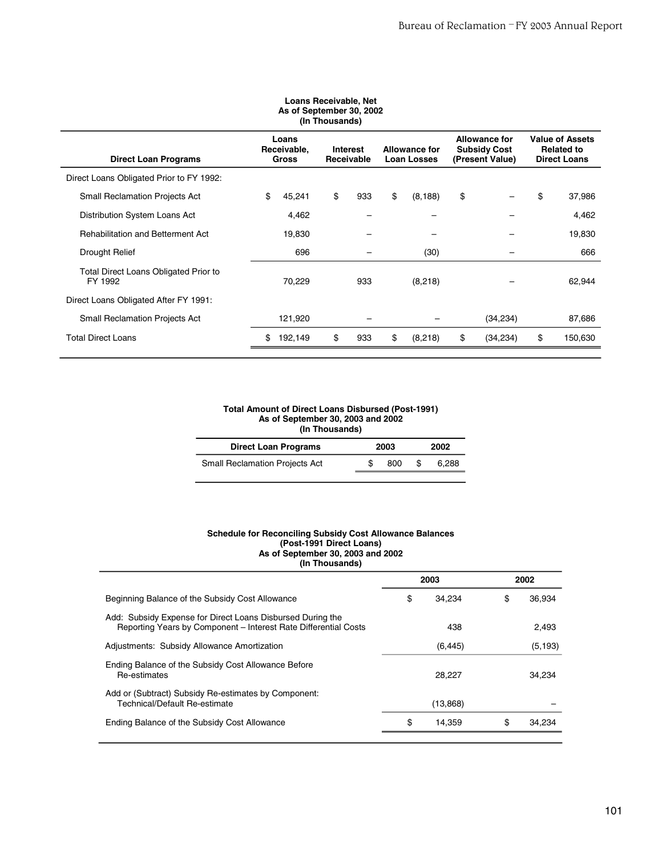| As of September 30, 2002<br>(In Thousands)                                                                                                                                                                                                                                          |    |         |    |     |    |          |    |           |    |         |  |
|-------------------------------------------------------------------------------------------------------------------------------------------------------------------------------------------------------------------------------------------------------------------------------------|----|---------|----|-----|----|----------|----|-----------|----|---------|--|
| <b>Value of Assets</b><br><b>Allowance for</b><br>Loans<br><b>Subsidy Cost</b><br>Receivable,<br><b>Allowance for</b><br><b>Related to</b><br>Interest<br><b>Direct Loan Programs</b><br>Receivable<br><b>Direct Loans</b><br><b>Gross</b><br><b>Loan Losses</b><br>(Present Value) |    |         |    |     |    |          |    |           |    |         |  |
| Direct Loans Obligated Prior to FY 1992:                                                                                                                                                                                                                                            |    |         |    |     |    |          |    |           |    |         |  |
| <b>Small Reclamation Projects Act</b>                                                                                                                                                                                                                                               | \$ | 45,241  | \$ | 933 | \$ | (8, 188) | \$ |           | \$ | 37,986  |  |
| Distribution System Loans Act                                                                                                                                                                                                                                                       |    | 4,462   |    |     |    |          |    |           |    | 4,462   |  |
| <b>Rehabilitation and Betterment Act</b>                                                                                                                                                                                                                                            |    | 19,830  |    |     |    |          |    |           |    | 19,830  |  |
| Drought Relief                                                                                                                                                                                                                                                                      |    | 696     |    |     |    | (30)     |    |           |    | 666     |  |
| Total Direct Loans Obligated Prior to<br>FY 1992                                                                                                                                                                                                                                    |    | 70,229  |    | 933 |    | (8,218)  |    |           |    | 62,944  |  |
| Direct Loans Obligated After FY 1991:                                                                                                                                                                                                                                               |    |         |    |     |    |          |    |           |    |         |  |
| <b>Small Reclamation Projects Act</b>                                                                                                                                                                                                                                               |    | 121,920 |    |     |    |          |    | (34, 234) |    | 87,686  |  |
| <b>Total Direct Loans</b>                                                                                                                                                                                                                                                           |    | 192,149 | \$ | 933 | \$ | (8,218)  | \$ | (34, 234) | \$ | 150,630 |  |

# **Loans Receivable, Net**

#### **Total Amount of Direct Loans Disbursed (Post-1991) As of September 30, 2003 and 2002 (In Thousands)**

 $\overline{a}$  $\overline{a}$ 

| <b>Direct Loan Programs</b>           | 2003 | 2002  |
|---------------------------------------|------|-------|
| <b>Small Reclamation Projects Act</b> | 800  | 6.288 |
|                                       |      |       |

#### **Schedule for Reconciling Subsidy Cost Allowance Balances (Post-1991 Direct Loans) As of September 30, 2003 and 2002 (In Thousands)**

|              |      | 2002     |
|--------------|------|----------|
| \$<br>34.234 | \$   | 36.934   |
| 438          |      | 2.493    |
| (6, 445)     |      | (5, 193) |
| 28.227       |      | 34,234   |
| (13, 868)    |      |          |
| \$<br>14.359 | \$   | 34,234   |
|              | 2003 |          |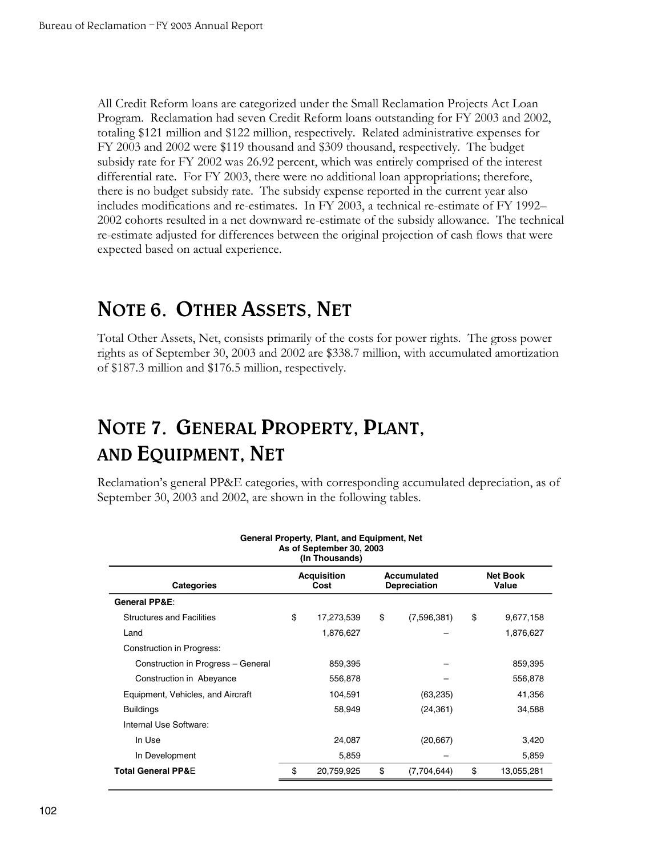All Credit Reform loans are categorized under the Small Reclamation Projects Act Loan Program. Reclamation had seven Credit Reform loans outstanding for FY 2003 and 2002, totaling \$121 million and \$122 million, respectively. Related administrative expenses for FY 2003 and 2002 were \$119 thousand and \$309 thousand, respectively. The budget subsidy rate for FY 2002 was 26.92 percent, which was entirely comprised of the interest differential rate. For FY 2003, there were no additional loan appropriations; therefore, there is no budget subsidy rate. The subsidy expense reported in the current year also includes modifications and re-estimates. In FY 2003, a technical re-estimate of FY 1992– 2002 cohorts resulted in a net downward re-estimate of the subsidy allowance. The technical re-estimate adjusted for differences between the original projection of cash flows that were expected based on actual experience.

## **NOTE 6. OTHER ASSETS, NET**

Total Other Assets, Net, consists primarily of the costs for power rights. The gross power rights as of September 30, 2003 and 2002 are \$338.7 million, with accumulated amortization of \$187.3 million and \$176.5 million, respectively.

## **NOTE 7. GENERAL PROPERTY, PLANT, AND EQUIPMENT, NET**

Reclamation's general PP&E categories, with corresponding accumulated depreciation, as of September 30, 2003 and 2002, are shown in the following tables.

| General Property, Plant, and Equipment, Net<br>As of September 30, 2003<br>(In Thousands)                         |    |            |    |             |    |            |  |  |  |  |  |
|-------------------------------------------------------------------------------------------------------------------|----|------------|----|-------------|----|------------|--|--|--|--|--|
| <b>Net Book</b><br><b>Acquisition</b><br>Accumulated<br><b>Categories</b><br>Value<br>Cost<br><b>Depreciation</b> |    |            |    |             |    |            |  |  |  |  |  |
| <b>General PP&amp;E:</b>                                                                                          |    |            |    |             |    |            |  |  |  |  |  |
| <b>Structures and Facilities</b>                                                                                  | \$ | 17,273,539 | \$ | (7,596,381) | \$ | 9,677,158  |  |  |  |  |  |
| Land                                                                                                              |    | 1,876,627  |    |             |    | 1,876,627  |  |  |  |  |  |
| Construction in Progress:                                                                                         |    |            |    |             |    |            |  |  |  |  |  |
| Construction in Progress - General                                                                                |    | 859,395    |    |             |    | 859,395    |  |  |  |  |  |
| Construction in Abeyance                                                                                          |    | 556,878    |    |             |    | 556,878    |  |  |  |  |  |
| Equipment, Vehicles, and Aircraft                                                                                 |    | 104,591    |    | (63, 235)   |    | 41,356     |  |  |  |  |  |
| <b>Buildings</b>                                                                                                  |    | 58,949     |    | (24, 361)   |    | 34,588     |  |  |  |  |  |
| Internal Use Software:                                                                                            |    |            |    |             |    |            |  |  |  |  |  |
| In Use                                                                                                            |    | 24,087     |    | (20, 667)   |    | 3,420      |  |  |  |  |  |
| In Development                                                                                                    |    | 5,859      |    |             |    | 5,859      |  |  |  |  |  |
| <b>Total General PP&amp;E</b>                                                                                     | \$ | 20,759,925 | \$ | (7,704,644) | \$ | 13,055,281 |  |  |  |  |  |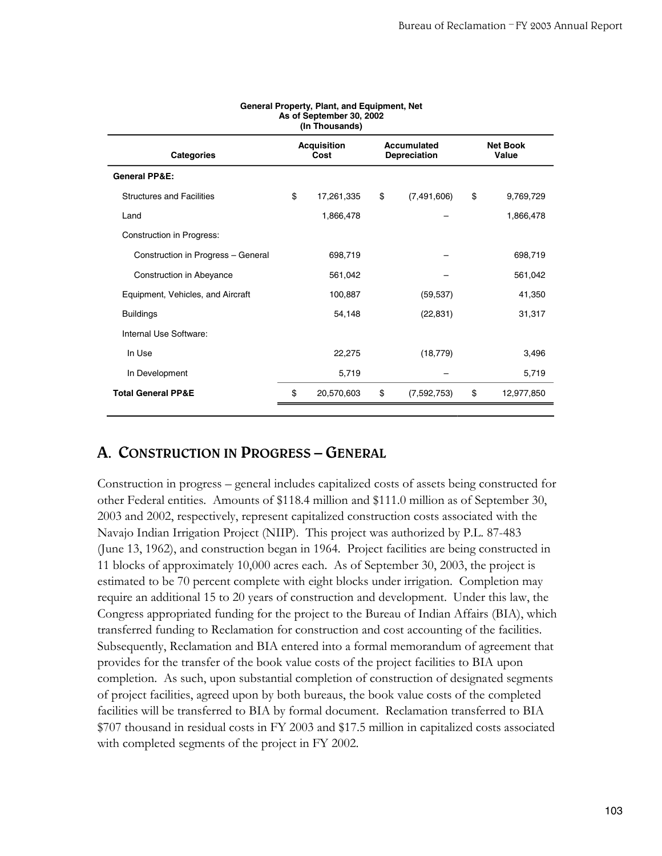| (In Thousands)                     |                            |            |    |                             |                          |            |  |  |  |
|------------------------------------|----------------------------|------------|----|-----------------------------|--------------------------|------------|--|--|--|
| <b>Categories</b>                  | <b>Acquisition</b><br>Cost |            |    | Accumulated<br>Depreciation | <b>Net Book</b><br>Value |            |  |  |  |
| <b>General PP&amp;E:</b>           |                            |            |    |                             |                          |            |  |  |  |
| <b>Structures and Facilities</b>   | \$                         | 17,261,335 | \$ | (7,491,606)                 | \$                       | 9,769,729  |  |  |  |
| Land                               |                            | 1,866,478  |    |                             |                          | 1,866,478  |  |  |  |
| Construction in Progress:          |                            |            |    |                             |                          |            |  |  |  |
| Construction in Progress - General |                            | 698,719    |    |                             |                          | 698,719    |  |  |  |
| Construction in Abeyance           |                            | 561,042    |    |                             |                          | 561,042    |  |  |  |
| Equipment, Vehicles, and Aircraft  |                            | 100,887    |    | (59, 537)                   |                          | 41,350     |  |  |  |
| <b>Buildings</b>                   |                            | 54,148     |    | (22, 831)                   |                          | 31,317     |  |  |  |
| Internal Use Software:             |                            |            |    |                             |                          |            |  |  |  |
| In Use                             |                            | 22,275     |    | (18, 779)                   |                          | 3,496      |  |  |  |
| In Development                     |                            | 5,719      |    |                             |                          | 5,719      |  |  |  |
| <b>Total General PP&amp;E</b>      | \$                         | 20,570,603 | \$ | (7,592,753)                 | \$                       | 12,977,850 |  |  |  |
|                                    |                            |            |    |                             |                          |            |  |  |  |

#### **General Property, Plant, and Equipment, Net As of September 30, 2002**

### **A. CONSTRUCTION IN PROGRESS – GENERAL**

Construction in progress – general includes capitalized costs of assets being constructed for other Federal entities. Amounts of \$118.4 million and \$111.0 million as of September 30, 2003 and 2002, respectively, represent capitalized construction costs associated with the Navajo Indian Irrigation Project (NIIP). This project was authorized by P.L. 87-483 (June 13, 1962), and construction began in 1964. Project facilities are being constructed in 11 blocks of approximately 10,000 acres each. As of September 30, 2003, the project is estimated to be 70 percent complete with eight blocks under irrigation. Completion may require an additional 15 to 20 years of construction and development. Under this law, the Congress appropriated funding for the project to the Bureau of Indian Affairs (BIA), which transferred funding to Reclamation for construction and cost accounting of the facilities. Subsequently, Reclamation and BIA entered into a formal memorandum of agreement that provides for the transfer of the book value costs of the project facilities to BIA upon completion. As such, upon substantial completion of construction of designated segments of project facilities, agreed upon by both bureaus, the book value costs of the completed facilities will be transferred to BIA by formal document. Reclamation transferred to BIA \$707 thousand in residual costs in FY 2003 and \$17.5 million in capitalized costs associated with completed segments of the project in FY 2002.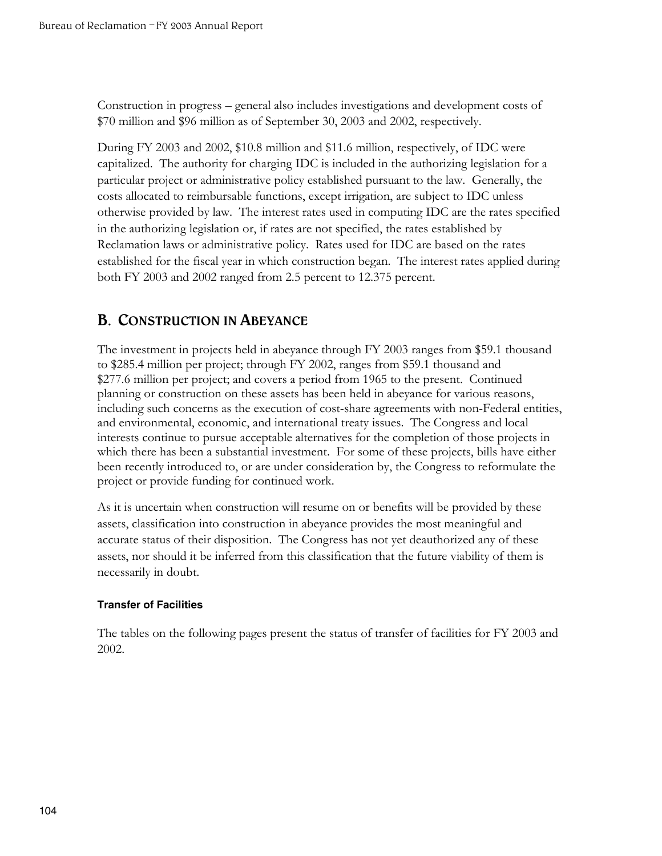Construction in progress – general also includes investigations and development costs of \$70 million and \$96 million as of September 30, 2003 and 2002, respectively.

During FY 2003 and 2002, \$10.8 million and \$11.6 million, respectively, of IDC were capitalized. The authority for charging IDC is included in the authorizing legislation for a particular project or administrative policy established pursuant to the law. Generally, the costs allocated to reimbursable functions, except irrigation, are subject to IDC unless otherwise provided by law. The interest rates used in computing IDC are the rates specified in the authorizing legislation or, if rates are not specified, the rates established by Reclamation laws or administrative policy. Rates used for IDC are based on the rates established for the fiscal year in which construction began. The interest rates applied during both FY 2003 and 2002 ranged from 2.5 percent to 12.375 percent.

## **B. CONSTRUCTION IN ABEYANCE**

The investment in projects held in abeyance through FY 2003 ranges from \$59.1 thousand to \$285.4 million per project; through FY 2002, ranges from \$59.1 thousand and \$277.6 million per project; and covers a period from 1965 to the present. Continued planning or construction on these assets has been held in abeyance for various reasons, including such concerns as the execution of cost-share agreements with non-Federal entities, and environmental, economic, and international treaty issues. The Congress and local interests continue to pursue acceptable alternatives for the completion of those projects in which there has been a substantial investment. For some of these projects, bills have either been recently introduced to, or are under consideration by, the Congress to reformulate the project or provide funding for continued work.

As it is uncertain when construction will resume on or benefits will be provided by these assets, classification into construction in abeyance provides the most meaningful and accurate status of their disposition. The Congress has not yet deauthorized any of these assets, nor should it be inferred from this classification that the future viability of them is necessarily in doubt.

#### **Transfer of Facilities**

The tables on the following pages present the status of transfer of facilities for FY 2003 and 2002.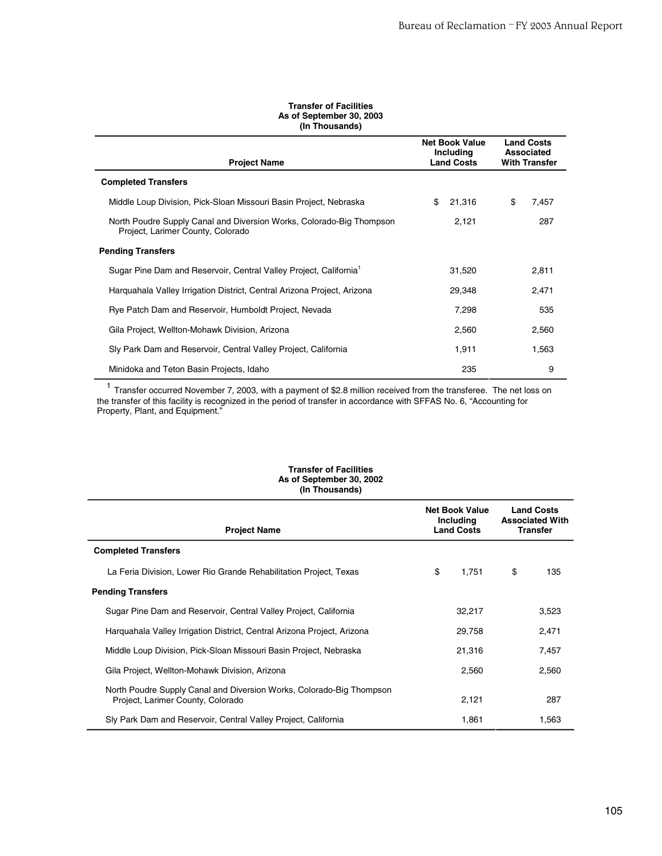#### **Transfer of Facilities As of September 30, 2003 (In Thousands)**

| <b>Project Name</b>                                                                                       | <b>Net Book Value</b><br>Including<br><b>Land Costs</b> | <b>Land Costs</b><br><b>Associated</b><br><b>With Transfer</b> |
|-----------------------------------------------------------------------------------------------------------|---------------------------------------------------------|----------------------------------------------------------------|
| <b>Completed Transfers</b>                                                                                |                                                         |                                                                |
| Middle Loup Division, Pick-Sloan Missouri Basin Project, Nebraska                                         | \$<br>21.316                                            | \$<br>7,457                                                    |
| North Poudre Supply Canal and Diversion Works, Colorado-Big Thompson<br>Project, Larimer County, Colorado | 2,121                                                   | 287                                                            |
| <b>Pending Transfers</b>                                                                                  |                                                         |                                                                |
| Sugar Pine Dam and Reservoir, Central Valley Project, California <sup>1</sup>                             | 31.520                                                  | 2,811                                                          |
| Harguahala Valley Irrigation District, Central Arizona Project, Arizona                                   | 29,348                                                  | 2,471                                                          |
| Rye Patch Dam and Reservoir, Humboldt Project, Nevada                                                     | 7,298                                                   | 535                                                            |
| Gila Project, Wellton-Mohawk Division, Arizona                                                            | 2,560                                                   | 2,560                                                          |
| Sly Park Dam and Reservoir, Central Valley Project, California                                            | 1,911                                                   | 1,563                                                          |
| Minidoka and Teton Basin Projects, Idaho                                                                  | 235                                                     | 9                                                              |

<sup>1</sup> Transfer occurred November 7, 2003, with a payment of \$2.8 million received from the transferee. The net Io ility is recognized in the period of transfer in accordance with SFFAS No. 6, "Accountir la Transfer occurred November 7, 2003, with a payment of \$2.8 million received from the transferee. The net loss on the transfer of this facility is recognized in the period of transfer in accordance with SFFAS No. 6, "Accounting for Property, Plant, and Equipment."

| As of September 30, 2002<br>(In Thousands)                                                                |                                                         |    |                                                                |  |
|-----------------------------------------------------------------------------------------------------------|---------------------------------------------------------|----|----------------------------------------------------------------|--|
| <b>Project Name</b>                                                                                       | <b>Net Book Value</b><br>Including<br><b>Land Costs</b> |    | <b>Land Costs</b><br><b>Associated With</b><br><b>Transfer</b> |  |
| <b>Completed Transfers</b>                                                                                |                                                         |    |                                                                |  |
| La Feria Division, Lower Rio Grande Rehabilitation Project, Texas                                         | \$<br>1,751                                             | \$ | 135                                                            |  |
| <b>Pending Transfers</b>                                                                                  |                                                         |    |                                                                |  |
| Sugar Pine Dam and Reservoir, Central Valley Project, California                                          | 32,217                                                  |    | 3,523                                                          |  |
| Harguahala Valley Irrigation District, Central Arizona Project, Arizona                                   | 29,758                                                  |    | 2,471                                                          |  |
| Middle Loup Division, Pick-Sloan Missouri Basin Project, Nebraska                                         | 21,316                                                  |    | 7,457                                                          |  |
| Gila Project, Wellton-Mohawk Division, Arizona                                                            | 2,560                                                   |    | 2,560                                                          |  |
| North Poudre Supply Canal and Diversion Works, Colorado-Big Thompson<br>Project, Larimer County, Colorado | 2,121                                                   |    | 287                                                            |  |
| Sly Park Dam and Reservoir, Central Valley Project, California                                            | 1,861                                                   |    | 1,563                                                          |  |

### **Transfer of Facilities As of September 30, 2002**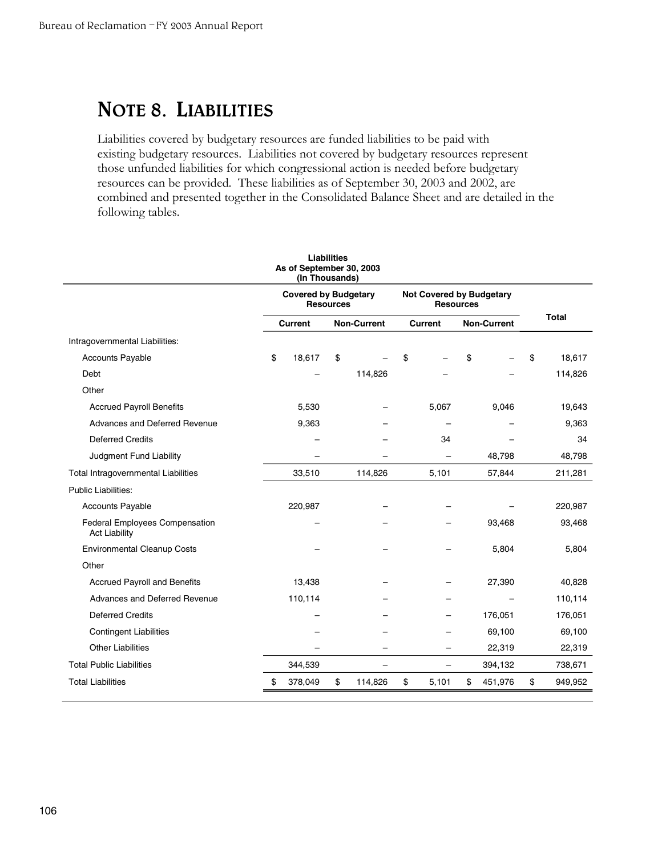## **NOTE 8. LIABILITIES**

Liabilities covered by budgetary resources are funded liabilities to be paid with existing budgetary resources. Liabilities not covered by budgetary resources represent those unfunded liabilities for which congressional action is needed before budgetary resources can be provided. These liabilities as of September 30, 2003 and 2002, are combined and presented together in the Consolidated Balance Sheet and are detailed in the following tables.

|                                                        |    | As of September 30, 2003<br>(In Thousands) | <b>Liabilities</b> |                          |                                                     |                    |         |               |  |
|--------------------------------------------------------|----|--------------------------------------------|--------------------|--------------------------|-----------------------------------------------------|--------------------|---------|---------------|--|
|                                                        |    | <b>Covered by Budgetary</b>                | <b>Resources</b>   |                          | <b>Not Covered by Budgetary</b><br><b>Resources</b> |                    |         |               |  |
|                                                        |    | <b>Current</b>                             |                    | <b>Non-Current</b>       | <b>Current</b>                                      | <b>Non-Current</b> |         | <b>Total</b>  |  |
| Intragovernmental Liabilities:                         |    |                                            |                    |                          |                                                     |                    |         |               |  |
| <b>Accounts Payable</b>                                | \$ | 18,617                                     | \$                 |                          | \$                                                  | \$                 |         | \$<br>18,617  |  |
| Debt                                                   |    |                                            |                    | 114,826                  |                                                     |                    |         | 114,826       |  |
| Other                                                  |    |                                            |                    |                          |                                                     |                    |         |               |  |
| <b>Accrued Payroll Benefits</b>                        |    | 5,530                                      |                    |                          | 5,067                                               |                    | 9,046   | 19,643        |  |
| Advances and Deferred Revenue                          |    | 9,363                                      |                    |                          |                                                     |                    |         | 9,363         |  |
| <b>Deferred Credits</b>                                |    |                                            |                    |                          | 34                                                  |                    |         | 34            |  |
| Judgment Fund Liability                                |    |                                            |                    |                          | 48,798                                              | 48,798             |         |               |  |
| <b>Total Intragovernmental Liabilities</b>             |    | 33,510                                     |                    | 114,826                  | 5,101                                               |                    | 57,844  | 211,281       |  |
| <b>Public Liabilities:</b>                             |    |                                            |                    |                          |                                                     |                    |         |               |  |
| <b>Accounts Payable</b>                                |    | 220,987                                    |                    |                          |                                                     |                    |         | 220,987       |  |
| Federal Employees Compensation<br><b>Act Liability</b> |    |                                            |                    |                          |                                                     |                    | 93,468  | 93,468        |  |
| <b>Environmental Cleanup Costs</b>                     |    |                                            |                    |                          |                                                     |                    | 5,804   | 5,804         |  |
| Other                                                  |    |                                            |                    |                          |                                                     |                    |         |               |  |
| <b>Accrued Payroll and Benefits</b>                    |    | 13,438                                     |                    |                          |                                                     |                    | 27,390  | 40,828        |  |
| Advances and Deferred Revenue                          |    | 110,114                                    |                    |                          |                                                     |                    |         | 110,114       |  |
| <b>Deferred Credits</b>                                |    |                                            |                    |                          |                                                     |                    | 176,051 | 176,051       |  |
| <b>Contingent Liabilities</b>                          |    |                                            |                    |                          |                                                     |                    | 69,100  | 69,100        |  |
| <b>Other Liabilities</b>                               |    |                                            |                    |                          |                                                     |                    | 22,319  | 22,319        |  |
| <b>Total Public Liabilities</b>                        |    | 344,539                                    |                    | $\overline{\phantom{0}}$ | $\overline{\phantom{0}}$                            |                    | 394,132 | 738,671       |  |
| <b>Total Liabilities</b>                               | \$ | 378,049                                    | \$                 | 114,826                  | \$<br>5,101                                         | \$                 | 451,976 | \$<br>949,952 |  |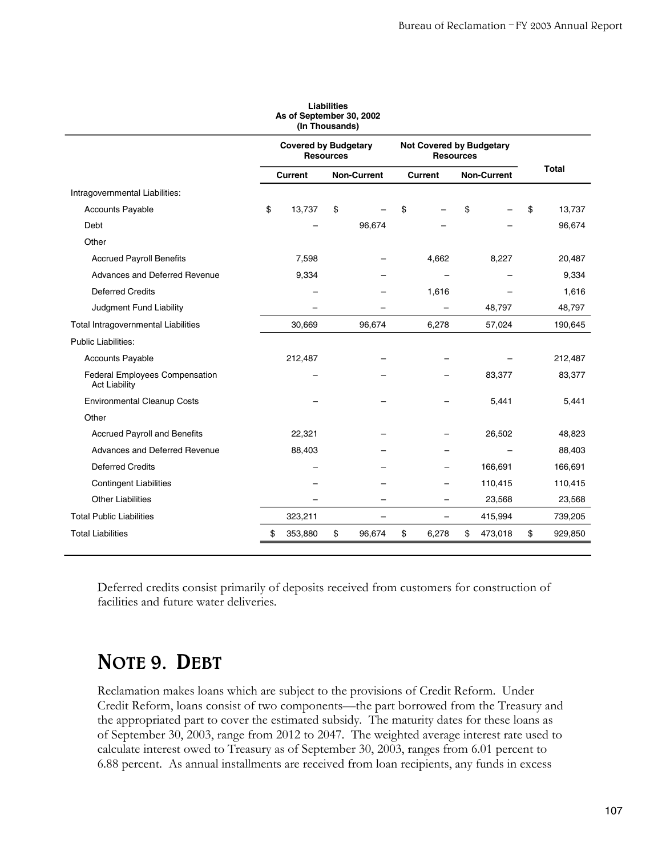| As of September 30, 2002<br>(In Thousands)                    |                                                 |                |    |                          |       |                                                     |        |                    |    |         |
|---------------------------------------------------------------|-------------------------------------------------|----------------|----|--------------------------|-------|-----------------------------------------------------|--------|--------------------|----|---------|
|                                                               | <b>Covered by Budgetary</b><br><b>Resources</b> |                |    |                          |       | <b>Not Covered by Budgetary</b><br><b>Resources</b> |        |                    |    |         |
|                                                               |                                                 | <b>Current</b> |    | <b>Non-Current</b>       |       | Current                                             |        | <b>Non-Current</b> |    | Total   |
| Intragovernmental Liabilities:                                |                                                 |                |    |                          |       |                                                     |        |                    |    |         |
| <b>Accounts Payable</b>                                       | \$                                              | 13,737         | \$ |                          | \$    |                                                     | \$     |                    | \$ | 13,737  |
| Debt                                                          |                                                 |                |    | 96,674                   |       |                                                     |        |                    |    | 96,674  |
| Other                                                         |                                                 |                |    |                          |       |                                                     |        |                    |    |         |
| <b>Accrued Payroll Benefits</b>                               |                                                 | 7,598          |    |                          |       | 4,662                                               |        | 8,227              |    | 20,487  |
| Advances and Deferred Revenue                                 |                                                 | 9,334          |    |                          |       |                                                     |        |                    |    | 9,334   |
| <b>Deferred Credits</b>                                       |                                                 |                |    |                          | 1,616 |                                                     |        |                    |    | 1,616   |
| Judgment Fund Liability                                       |                                                 |                |    |                          |       |                                                     | 48,797 |                    |    | 48,797  |
| Total Intragovernmental Liabilities                           |                                                 | 30,669         |    | 96,674                   |       | 6,278                                               |        | 57,024             |    | 190,645 |
| <b>Public Liabilities:</b>                                    |                                                 |                |    |                          |       |                                                     |        |                    |    |         |
| <b>Accounts Payable</b>                                       |                                                 | 212,487        |    |                          |       |                                                     |        |                    |    | 212,487 |
| <b>Federal Employees Compensation</b><br><b>Act Liability</b> |                                                 |                |    |                          |       |                                                     |        | 83,377             |    | 83,377  |
| <b>Environmental Cleanup Costs</b>                            |                                                 |                |    |                          |       |                                                     |        | 5,441              |    | 5,441   |
| Other                                                         |                                                 |                |    |                          |       |                                                     |        |                    |    |         |
| <b>Accrued Payroll and Benefits</b>                           |                                                 | 22,321         |    |                          |       |                                                     |        | 26,502             |    | 48,823  |
| Advances and Deferred Revenue                                 |                                                 | 88,403         |    |                          |       |                                                     |        |                    |    | 88,403  |
| <b>Deferred Credits</b>                                       |                                                 |                |    |                          |       |                                                     |        | 166,691            |    | 166,691 |
| <b>Contingent Liabilities</b>                                 |                                                 |                |    |                          |       |                                                     |        | 110,415            |    | 110,415 |
| <b>Other Liabilities</b>                                      |                                                 |                |    | $\overline{\phantom{0}}$ |       | $\overline{\phantom{0}}$                            |        | 23,568             |    | 23,568  |
| <b>Total Public Liabilities</b>                               |                                                 | 323,211        |    | $\overline{\phantom{0}}$ |       | —                                                   |        | 415,994            |    | 739,205 |
| <b>Total Liabilities</b>                                      |                                                 | 353,880        | \$ | 96,674                   | \$    | 6,278                                               | \$     | 473,018            | \$ | 929,850 |

**Liabilities** 

Deferred credits consist primarily of deposits received from customers for construction of facilities and future water deliveries.

## **NOTE 9. DEBT**

Reclamation makes loans which are subject to the provisions of Credit Reform. Under Credit Reform, loans consist of two components—the part borrowed from the Treasury and the appropriated part to cover the estimated subsidy. The maturity dates for these loans as of September 30, 2003, range from 2012 to 2047. The weighted average interest rate used to calculate interest owed to Treasury as of September 30, 2003, ranges from 6.01 percent to 6.88 percent. As annual installments are received from loan recipients, any funds in excess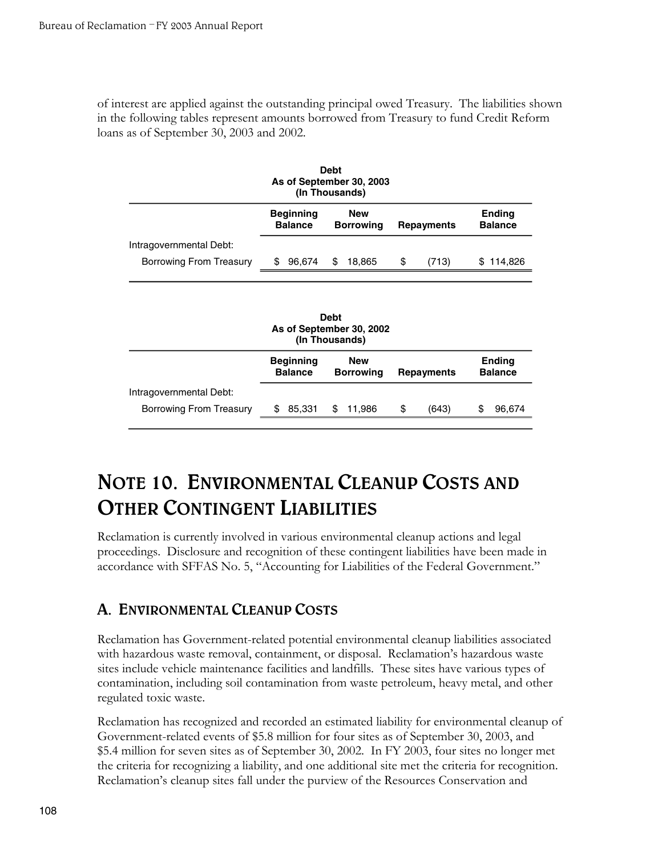of interest are applied against the outstanding principal owed Treasury. The liabilities shown in the following tables represent amounts borrowed from Treasury to fund Credit Reform loans as of September 30, 2003 and 2002.

| <b>Debt</b><br>As of September 30, 2003<br>(In Thousands) |                                    |                                |                   |                                 |  |  |  |  |  |
|-----------------------------------------------------------|------------------------------------|--------------------------------|-------------------|---------------------------------|--|--|--|--|--|
|                                                           | <b>Beginning</b><br><b>Balance</b> | <b>New</b><br><b>Borrowing</b> | <b>Repayments</b> | <b>Ending</b><br><b>Balance</b> |  |  |  |  |  |
| Intragovernmental Debt:                                   |                                    |                                |                   |                                 |  |  |  |  |  |
| Borrowing From Treasury                                   | 96,674<br>S                        | \$<br>18,865                   | (713)<br>\$       | 114,826<br>S                    |  |  |  |  |  |
|                                                           |                                    |                                |                   |                                 |  |  |  |  |  |

| <b>Debt</b><br>As of September 30, 2002<br>(In Thousands) |                                    |                                |    |                   |   |                                 |  |  |  |
|-----------------------------------------------------------|------------------------------------|--------------------------------|----|-------------------|---|---------------------------------|--|--|--|
|                                                           | <b>Beginning</b><br><b>Balance</b> | <b>New</b><br><b>Borrowing</b> |    | <b>Repayments</b> |   | <b>Ending</b><br><b>Balance</b> |  |  |  |
| Intragovernmental Debt:                                   |                                    |                                |    |                   |   |                                 |  |  |  |
| Borrowing From Treasury                                   | 85,331<br>S                        | 11,986<br>\$                   | \$ | (643)             | S | 96,674                          |  |  |  |
|                                                           |                                    |                                |    |                   |   |                                 |  |  |  |

## **NOTE 10. ENVIRONMENTAL CLEANUP COSTS AND OTHER CONTINGENT LIABILITIES**

Reclamation is currently involved in various environmental cleanup actions and legal proceedings. Disclosure and recognition of these contingent liabilities have been made in accordance with SFFAS No. 5, "Accounting for Liabilities of the Federal Government."

### **A. ENVIRONMENTAL CLEANUP COSTS**

Reclamation has Government-related potential environmental cleanup liabilities associated with hazardous waste removal, containment, or disposal. Reclamation's hazardous waste sites include vehicle maintenance facilities and landfills. These sites have various types of contamination, including soil contamination from waste petroleum, heavy metal, and other regulated toxic waste.

Reclamation has recognized and recorded an estimated liability for environmental cleanup of Government-related events of \$5.8 million for four sites as of September 30, 2003, and \$5.4 million for seven sites as of September 30, 2002. In FY 2003, four sites no longer met the criteria for recognizing a liability, and one additional site met the criteria for recognition. Reclamation's cleanup sites fall under the purview of the Resources Conservation and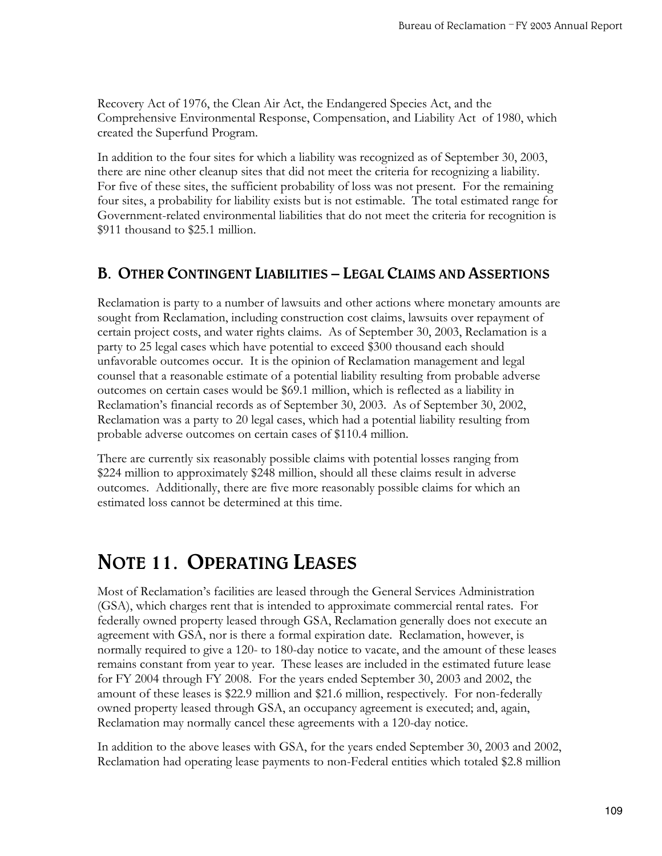Recovery Act of 1976, the Clean Air Act, the Endangered Species Act, and the Comprehensive Environmental Response, Compensation, and Liability Act of 1980, which created the Superfund Program.

In addition to the four sites for which a liability was recognized as of September 30, 2003, there are nine other cleanup sites that did not meet the criteria for recognizing a liability. For five of these sites, the sufficient probability of loss was not present. For the remaining four sites, a probability for liability exists but is not estimable. The total estimated range for Government-related environmental liabilities that do not meet the criteria for recognition is \$911 thousand to \$25.1 million.

### **B. OTHER CONTINGENT LIABILITIES – LEGAL CLAIMS AND ASSERTIONS**

Reclamation is party to a number of lawsuits and other actions where monetary amounts are sought from Reclamation, including construction cost claims, lawsuits over repayment of certain project costs, and water rights claims. As of September 30, 2003, Reclamation is a party to 25 legal cases which have potential to exceed \$300 thousand each should unfavorable outcomes occur. It is the opinion of Reclamation management and legal counsel that a reasonable estimate of a potential liability resulting from probable adverse outcomes on certain cases would be \$69.1 million, which is reflected as a liability in Reclamation's financial records as of September 30, 2003. As of September 30, 2002, Reclamation was a party to 20 legal cases, which had a potential liability resulting from probable adverse outcomes on certain cases of \$110.4 million.

There are currently six reasonably possible claims with potential losses ranging from \$224 million to approximately \$248 million, should all these claims result in adverse outcomes. Additionally, there are five more reasonably possible claims for which an estimated loss cannot be determined at this time.

## **NOTE 11. OPERATING LEASES**

Most of Reclamation's facilities are leased through the General Services Administration (GSA), which charges rent that is intended to approximate commercial rental rates. For federally owned property leased through GSA, Reclamation generally does not execute an agreement with GSA, nor is there a formal expiration date. Reclamation, however, is normally required to give a 120- to 180-day notice to vacate, and the amount of these leases remains constant from year to year. These leases are included in the estimated future lease for FY 2004 through FY 2008. For the years ended September 30, 2003 and 2002, the amount of these leases is \$22.9 million and \$21.6 million, respectively. For non-federally owned property leased through GSA, an occupancy agreement is executed; and, again, Reclamation may normally cancel these agreements with a 120-day notice.

In addition to the above leases with GSA, for the years ended September 30, 2003 and 2002, Reclamation had operating lease payments to non-Federal entities which totaled \$2.8 million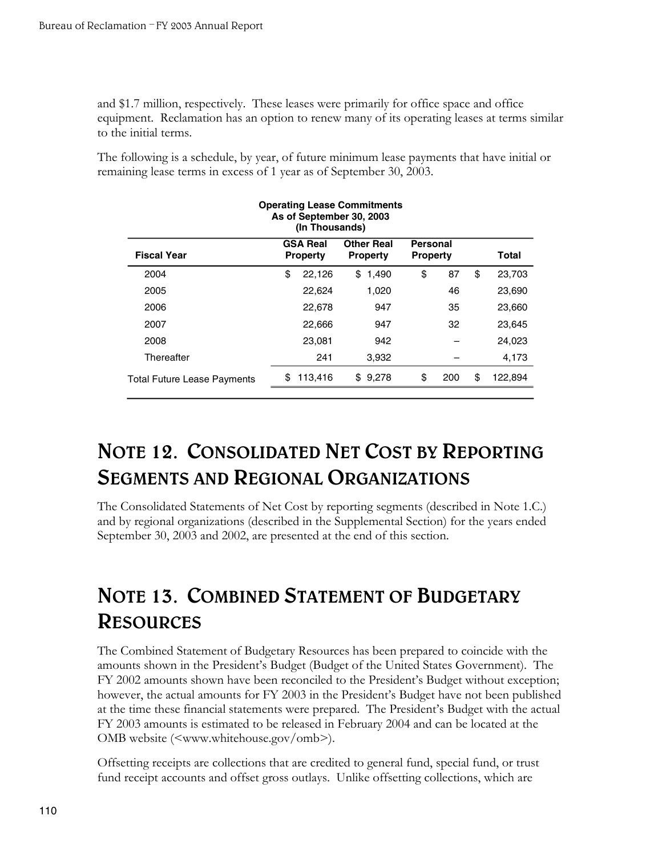and \$1.7 million, respectively. These leases were primarily for office space and office equipment. Reclamation has an option to renew many of its operating leases at terms similar to the initial terms.

The following is a schedule, by year, of future minimum lease payments that have initial or remaining lease terms in excess of 1 year as of September 30, 2003.

| <b>Operating Lease Commitments</b><br>As of September 30, 2003<br>(In Thousands)                                                                |    |         |             |    |     |    |         |  |  |
|-------------------------------------------------------------------------------------------------------------------------------------------------|----|---------|-------------|----|-----|----|---------|--|--|
| <b>GSA Real</b><br><b>Other Real</b><br><b>Personal</b><br><b>Fiscal Year</b><br><b>Property</b><br><b>Property</b><br><b>Property</b><br>Total |    |         |             |    |     |    |         |  |  |
| 2004                                                                                                                                            | \$ | 22,126  | \$<br>1,490 | \$ | 87  | \$ | 23,703  |  |  |
| 2005                                                                                                                                            |    | 22.624  | 1,020       |    | 46  |    | 23,690  |  |  |
| 2006                                                                                                                                            |    | 22,678  | 947         |    | 35  |    | 23,660  |  |  |
| 2007                                                                                                                                            |    | 22,666  | 947         |    | 32  |    | 23,645  |  |  |
| 2008                                                                                                                                            |    | 23,081  | 942         |    |     |    | 24,023  |  |  |
| Thereafter                                                                                                                                      |    | 241     | 3,932       |    |     |    | 4,173   |  |  |
| <b>Total Future Lease Payments</b>                                                                                                              | S  | 113,416 | \$9,278     | \$ | 200 | \$ | 122,894 |  |  |

## **NOTE 12. CONSOLIDATED NET COST BY REPORTING SEGMENTS AND REGIONAL ORGANIZATIONS**

The Consolidated Statements of Net Cost by reporting segments (described in Note 1.C.) and by regional organizations (described in the Supplemental Section) for the years ended September 30, 2003 and 2002, are presented at the end of this section.

## **NOTE 13. COMBINED STATEMENT OF BUDGETARY RESOURCES**

The Combined Statement of Budgetary Resources has been prepared to coincide with the amounts shown in the President's Budget (Budget of the United States Government). The FY 2002 amounts shown have been reconciled to the President's Budget without exception; however, the actual amounts for FY 2003 in the President's Budget have not been published at the time these financial statements were prepared. The President's Budget with the actual FY 2003 amounts is estimated to be released in February 2004 and can be located at the OMB website (<www.whitehouse.gov/omb>).

Offsetting receipts are collections that are credited to general fund, special fund, or trust fund receipt accounts and offset gross outlays. Unlike offsetting collections, which are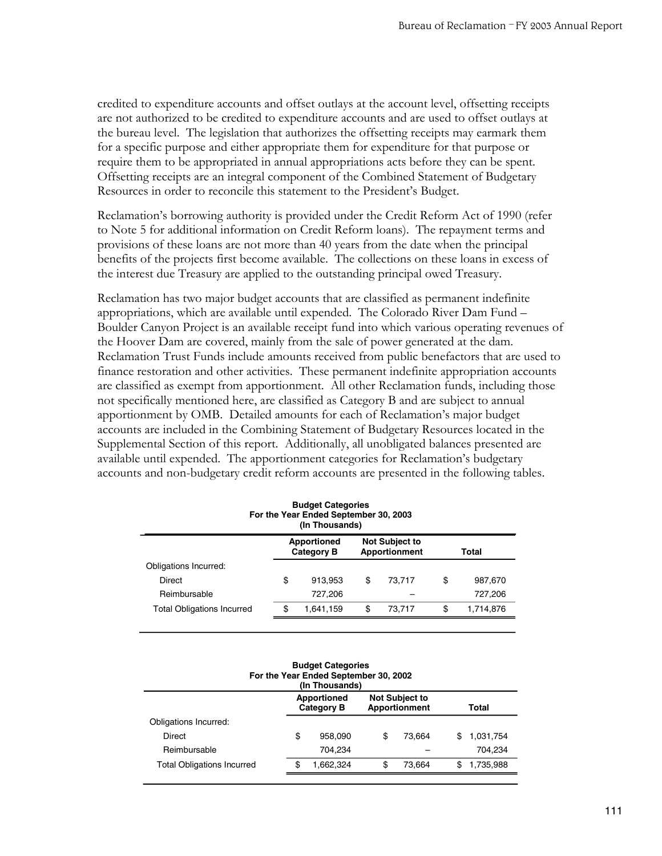credited to expenditure accounts and offset outlays at the account level, offsetting receipts are not authorized to be credited to expenditure accounts and are used to offset outlays at the bureau level. The legislation that authorizes the offsetting receipts may earmark them for a specific purpose and either appropriate them for expenditure for that purpose or require them to be appropriated in annual appropriations acts before they can be spent. Offsetting receipts are an integral component of the Combined Statement of Budgetary Resources in order to reconcile this statement to the President's Budget.

Reclamation's borrowing authority is provided under the Credit Reform Act of 1990 (refer to Note 5 for additional information on Credit Reform loans). The repayment terms and provisions of these loans are not more than 40 years from the date when the principal benefits of the projects first become available. The collections on these loans in excess of the interest due Treasury are applied to the outstanding principal owed Treasury.

Reclamation has two major budget accounts that are classified as permanent indefinite appropriations, which are available until expended. The Colorado River Dam Fund – Boulder Canyon Project is an available receipt fund into which various operating revenues of the Hoover Dam are covered, mainly from the sale of power generated at the dam. Reclamation Trust Funds include amounts received from public benefactors that are used to finance restoration and other activities. These permanent indefinite appropriation accounts are classified as exempt from apportionment. All other Reclamation funds, including those not specifically mentioned here, are classified as Category B and are subject to annual apportionment by OMB. Detailed amounts for each of Reclamation's major budget accounts are included in the Combining Statement of Budgetary Resources located in the Supplemental Section of this report. Additionally, all unobligated balances presented are available until expended. The apportionment categories for Reclamation's budgetary accounts and non-budgetary credit reform accounts are presented in the following tables.

| <b>Budget Categories</b><br>For the Year Ended September 30, 2003<br>(In Thousands)               |    |           |    |        |    |           |  |  |  |  |
|---------------------------------------------------------------------------------------------------|----|-----------|----|--------|----|-----------|--|--|--|--|
| <b>Not Subject to</b><br><b>Apportioned</b><br><b>Category B</b><br><b>Apportionment</b><br>Total |    |           |    |        |    |           |  |  |  |  |
| Obligations Incurred:                                                                             |    |           |    |        |    |           |  |  |  |  |
| Direct                                                                                            | \$ | 913,953   | \$ | 73.717 | \$ | 987,670   |  |  |  |  |
| Reimbursable                                                                                      |    | 727,206   |    |        |    | 727,206   |  |  |  |  |
| <b>Total Obligations Incurred</b>                                                                 | \$ | 1,641,159 | \$ | 73.717 | \$ | 1,714,876 |  |  |  |  |
|                                                                                                   |    |           |    |        |    |           |  |  |  |  |

| <b>Budget Categories</b><br>For the Year Ended September 30, 2002<br>(In Thousands)               |    |           |    |        |   |           |  |  |  |
|---------------------------------------------------------------------------------------------------|----|-----------|----|--------|---|-----------|--|--|--|
| <b>Apportioned</b><br><b>Not Subject to</b><br><b>Apportionment</b><br><b>Category B</b><br>Total |    |           |    |        |   |           |  |  |  |
| Obligations Incurred:                                                                             |    |           |    |        |   |           |  |  |  |
| <b>Direct</b>                                                                                     | \$ | 958.090   | \$ | 73.664 | S | 1,031,754 |  |  |  |
| Reimbursable                                                                                      |    | 704,234   |    |        |   | 704.234   |  |  |  |
| <b>Total Obligations Incurred</b>                                                                 | \$ | 1.662.324 | \$ | 73.664 |   | 1,735,988 |  |  |  |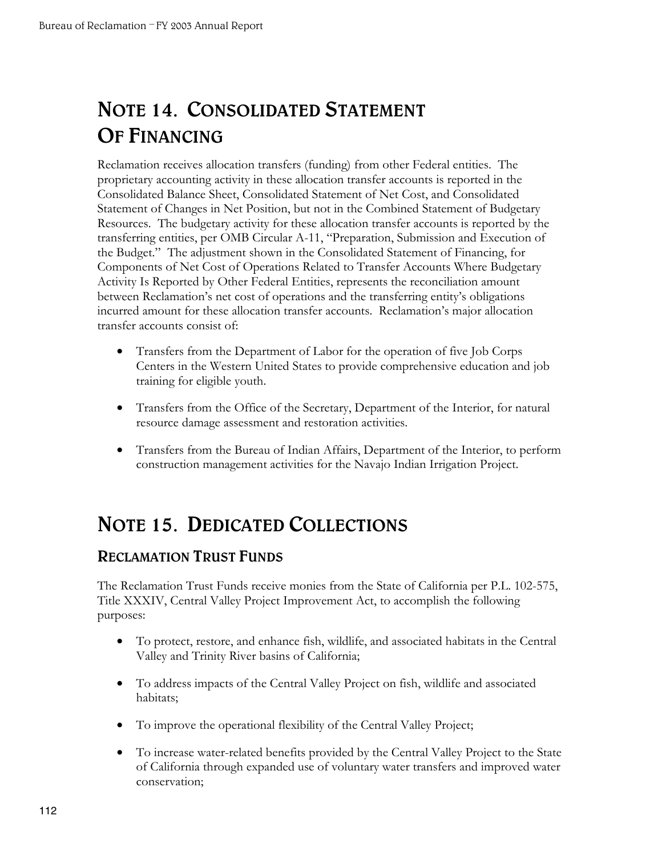## **NOTE 14. CONSOLIDATED STATEMENT OF FINANCING**

Reclamation receives allocation transfers (funding) from other Federal entities. The proprietary accounting activity in these allocation transfer accounts is reported in the Consolidated Balance Sheet, Consolidated Statement of Net Cost, and Consolidated Statement of Changes in Net Position, but not in the Combined Statement of Budgetary Resources. The budgetary activity for these allocation transfer accounts is reported by the transferring entities, per OMB Circular A-11, "Preparation, Submission and Execution of the Budget." The adjustment shown in the Consolidated Statement of Financing, for Components of Net Cost of Operations Related to Transfer Accounts Where Budgetary Activity Is Reported by Other Federal Entities, represents the reconciliation amount between Reclamation's net cost of operations and the transferring entity's obligations incurred amount for these allocation transfer accounts. Reclamation's major allocation transfer accounts consist of:

- Transfers from the Department of Labor for the operation of five Job Corps Centers in the Western United States to provide comprehensive education and job training for eligible youth.
- Transfers from the Office of the Secretary, Department of the Interior, for natural resource damage assessment and restoration activities.
- Transfers from the Bureau of Indian Affairs, Department of the Interior, to perform construction management activities for the Navajo Indian Irrigation Project.

## **NOTE 15. DEDICATED COLLECTIONS**

### **RECLAMATION TRUST FUNDS**

The Reclamation Trust Funds receive monies from the State of California per P.L. 102-575, Title XXXIV, Central Valley Project Improvement Act, to accomplish the following purposes:

- • To protect, restore, and enhance fish, wildlife, and associated habitats in the Central Valley and Trinity River basins of California;
- • To address impacts of the Central Valley Project on fish, wildlife and associated habitats;
- • To improve the operational flexibility of the Central Valley Project;
- To increase water-related benefits provided by the Central Valley Project to the State of California through expanded use of voluntary water transfers and improved water conservation;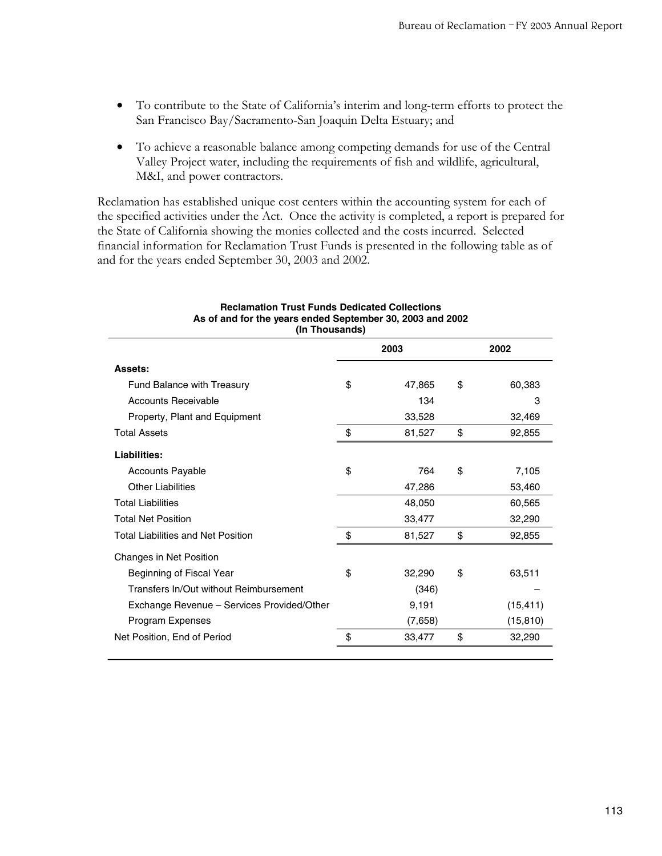- • To contribute to the State of California's interim and long-term efforts to protect the San Francisco Bay/Sacramento-San Joaquin Delta Estuary; and
- To achieve a reasonable balance among competing demands for use of the Central Valley Project water, including the requirements of fish and wildlife, agricultural, M&I, and power contractors.

Reclamation has established unique cost centers within the accounting system for each of the specified activities under the Act. Once the activity is completed, a report is prepared for the State of California showing the monies collected and the costs incurred. Selected financial information for Reclamation Trust Funds is presented in the following table as of and for the years ended September 30, 2003 and 2002.

| (In Thousands)                             |    |         |    |           |  |  |  |  |  |
|--------------------------------------------|----|---------|----|-----------|--|--|--|--|--|
|                                            |    | 2002    |    |           |  |  |  |  |  |
| Assets:                                    |    |         |    |           |  |  |  |  |  |
| <b>Fund Balance with Treasury</b>          | \$ | 47,865  | \$ | 60,383    |  |  |  |  |  |
| Accounts Receivable                        |    | 134     |    | З         |  |  |  |  |  |
| Property, Plant and Equipment              |    | 33,528  |    | 32,469    |  |  |  |  |  |
| <b>Total Assets</b>                        | \$ | 81,527  | \$ | 92,855    |  |  |  |  |  |
| Liabilities:                               |    |         |    |           |  |  |  |  |  |
| <b>Accounts Payable</b>                    | \$ | 764     | \$ | 7,105     |  |  |  |  |  |
| <b>Other Liabilities</b>                   |    | 47,286  |    | 53,460    |  |  |  |  |  |
| <b>Total Liabilities</b>                   |    | 48,050  |    | 60,565    |  |  |  |  |  |
| <b>Total Net Position</b>                  |    | 33,477  |    | 32,290    |  |  |  |  |  |
| <b>Total Liabilities and Net Position</b>  | \$ | 81,527  | \$ | 92,855    |  |  |  |  |  |
| Changes in Net Position                    |    |         |    |           |  |  |  |  |  |
| Beginning of Fiscal Year                   | \$ | 32,290  | \$ | 63,511    |  |  |  |  |  |
| Transfers In/Out without Reimbursement     |    | (346)   |    |           |  |  |  |  |  |
| Exchange Revenue – Services Provided/Other |    | 9,191   |    | (15, 411) |  |  |  |  |  |
| Program Expenses                           |    | (7,658) |    | (15, 810) |  |  |  |  |  |
| Net Position, End of Period                | \$ | 33,477  | \$ | 32,290    |  |  |  |  |  |
|                                            |    |         |    |           |  |  |  |  |  |

### **Reclamation Trust Funds Dedicated Collections As of and for the years ended September 30, 2003 and 2002**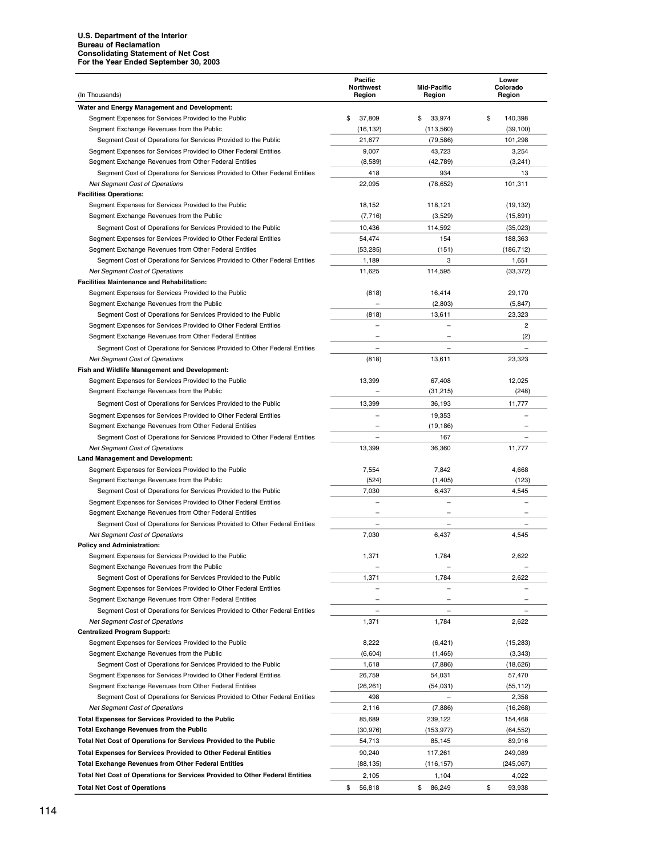#### **U.S. Department of the Interior Bureau of Reclamation Consolidating Statement of Net Cost For the Year Ended September 30, 2003**

|                                                                                                                                     | Pacific<br><b>Northwest</b> | <b>Mid-Pacific</b>       | Lower<br>Colorado |
|-------------------------------------------------------------------------------------------------------------------------------------|-----------------------------|--------------------------|-------------------|
| (In Thousands)                                                                                                                      | Region                      | Region                   | Region            |
| Water and Energy Management and Development:                                                                                        |                             |                          |                   |
| Segment Expenses for Services Provided to the Public                                                                                | \$<br>37,809                | \$<br>33,974             | \$<br>140,398     |
| Segment Exchange Revenues from the Public                                                                                           | (16, 132)                   | (113,560)                | (39, 100)         |
| Segment Cost of Operations for Services Provided to the Public                                                                      | 21,677                      | (79, 586)                | 101,298           |
| Segment Expenses for Services Provided to Other Federal Entities                                                                    | 9,007                       | 43,723                   | 3,254             |
| Segment Exchange Revenues from Other Federal Entities                                                                               | (8,589)                     | (42, 789)                | (3,241)           |
| Segment Cost of Operations for Services Provided to Other Federal Entities                                                          | 418                         | 934                      | 13                |
| <b>Net Segment Cost of Operations</b><br><b>Facilities Operations:</b>                                                              | 22,095                      | (78, 652)                | 101,311           |
| Segment Expenses for Services Provided to the Public                                                                                | 18,152                      | 118,121                  | (19, 132)         |
| Segment Exchange Revenues from the Public                                                                                           | (7, 716)                    | (3,529)                  | (15, 891)         |
| Segment Cost of Operations for Services Provided to the Public                                                                      | 10,436                      | 114,592                  | (35,023)          |
| Segment Expenses for Services Provided to Other Federal Entities                                                                    | 54,474                      | 154                      | 188,363           |
| Segment Exchange Revenues from Other Federal Entities                                                                               | (53, 285)                   | (151)                    | (186, 712)        |
| Segment Cost of Operations for Services Provided to Other Federal Entities                                                          | 1,189                       | 3                        | 1,651             |
| <b>Net Segment Cost of Operations</b>                                                                                               | 11,625                      | 114,595                  | (33, 372)         |
| <b>Facilities Maintenance and Rehabilitation:</b>                                                                                   |                             |                          |                   |
| Segment Expenses for Services Provided to the Public                                                                                | (818)                       | 16,414                   | 29,170            |
| Segment Exchange Revenues from the Public                                                                                           |                             | (2,803)                  | (5, 847)          |
| Segment Cost of Operations for Services Provided to the Public                                                                      | (818)                       | 13,611                   | 23,323            |
| Segment Expenses for Services Provided to Other Federal Entities                                                                    |                             |                          | $\overline{2}$    |
| Segment Exchange Revenues from Other Federal Entities                                                                               |                             |                          | (2)               |
| Segment Cost of Operations for Services Provided to Other Federal Entities                                                          |                             |                          |                   |
| <b>Net Segment Cost of Operations</b>                                                                                               | (818)                       | 13,611                   | 23,323            |
| Fish and Wildlife Management and Development:                                                                                       |                             |                          |                   |
| Segment Expenses for Services Provided to the Public                                                                                | 13,399                      | 67,408                   | 12.025            |
| Segment Exchange Revenues from the Public                                                                                           |                             | (31, 215)                | (248)             |
| Segment Cost of Operations for Services Provided to the Public                                                                      | 13,399                      | 36,193                   | 11,777            |
| Segment Expenses for Services Provided to Other Federal Entities                                                                    |                             | 19,353                   |                   |
| Segment Exchange Revenues from Other Federal Entities                                                                               |                             | (19, 186)                |                   |
| Segment Cost of Operations for Services Provided to Other Federal Entities                                                          | $\overline{\phantom{0}}$    | 167                      |                   |
| <b>Net Segment Cost of Operations</b>                                                                                               | 13,399                      | 36,360                   | 11,777            |
| <b>Land Management and Development:</b>                                                                                             |                             |                          |                   |
| Segment Expenses for Services Provided to the Public                                                                                | 7,554                       | 7,842                    | 4,668             |
| Segment Exchange Revenues from the Public                                                                                           | (524)                       | (1,405)                  | (123)             |
| Segment Cost of Operations for Services Provided to the Public                                                                      | 7,030                       | 6,437                    | 4,545             |
| Segment Expenses for Services Provided to Other Federal Entities                                                                    |                             | $\overline{\phantom{0}}$ |                   |
| Segment Exchange Revenues from Other Federal Entities<br>Segment Cost of Operations for Services Provided to Other Federal Entities |                             |                          |                   |
| Net Segment Cost of Operations                                                                                                      | 7,030                       | 6,437                    | 4,545             |
| <b>Policy and Administration:</b>                                                                                                   |                             |                          |                   |
| Segment Expenses for Services Provided to the Public                                                                                | 1,371                       | 1,784                    | 2,622             |
| Segment Exchange Revenues from the Public                                                                                           |                             |                          |                   |
| Segment Cost of Operations for Services Provided to the Public                                                                      | 1,371                       | 1,784                    | 2,622             |
| Segment Expenses for Services Provided to Other Federal Entities                                                                    |                             |                          |                   |
| Segment Exchange Revenues from Other Federal Entities                                                                               |                             |                          |                   |
| Segment Cost of Operations for Services Provided to Other Federal Entities                                                          |                             |                          |                   |
| Net Segment Cost of Operations                                                                                                      | 1,371                       | 1,784                    | 2,622             |
| <b>Centralized Program Support:</b>                                                                                                 |                             |                          |                   |
| Segment Expenses for Services Provided to the Public                                                                                | 8,222                       | (6, 421)                 | (15, 283)         |
| Segment Exchange Revenues from the Public                                                                                           | (6,604)                     | (1, 465)                 | (3, 343)          |
| Segment Cost of Operations for Services Provided to the Public                                                                      | 1,618                       | (7,886)                  | (18,626)          |
| Segment Expenses for Services Provided to Other Federal Entities                                                                    | 26,759                      | 54,031                   | 57,470            |
| Segment Exchange Revenues from Other Federal Entities                                                                               | (26, 261)                   | (54,031)                 | (55, 112)         |
| Segment Cost of Operations for Services Provided to Other Federal Entities                                                          | 498                         |                          | 2,358             |
| <b>Net Segment Cost of Operations</b>                                                                                               | 2,116                       | (7,886)                  | (16, 268)         |
| <b>Total Expenses for Services Provided to the Public</b>                                                                           | 85,689                      | 239,122                  | 154,468           |
| <b>Total Exchange Revenues from the Public</b>                                                                                      | (30, 976)                   | (153, 977)               | (64, 552)         |
| Total Net Cost of Operations for Services Provided to the Public                                                                    | 54,713                      | 85,145                   | 89,916            |
| <b>Total Expenses for Services Provided to Other Federal Entities</b>                                                               | 90,240                      | 117,261                  | 249,089           |
| <b>Total Exchange Revenues from Other Federal Entities</b>                                                                          | (88, 135)                   | (116, 157)               | (245,067)         |
| Total Net Cost of Operations for Services Provided to Other Federal Entities                                                        | 2,105                       | 1,104                    | 4,022             |
| <b>Total Net Cost of Operations</b>                                                                                                 | \$<br>56,818                | \$<br>86,249             | \$<br>93,938      |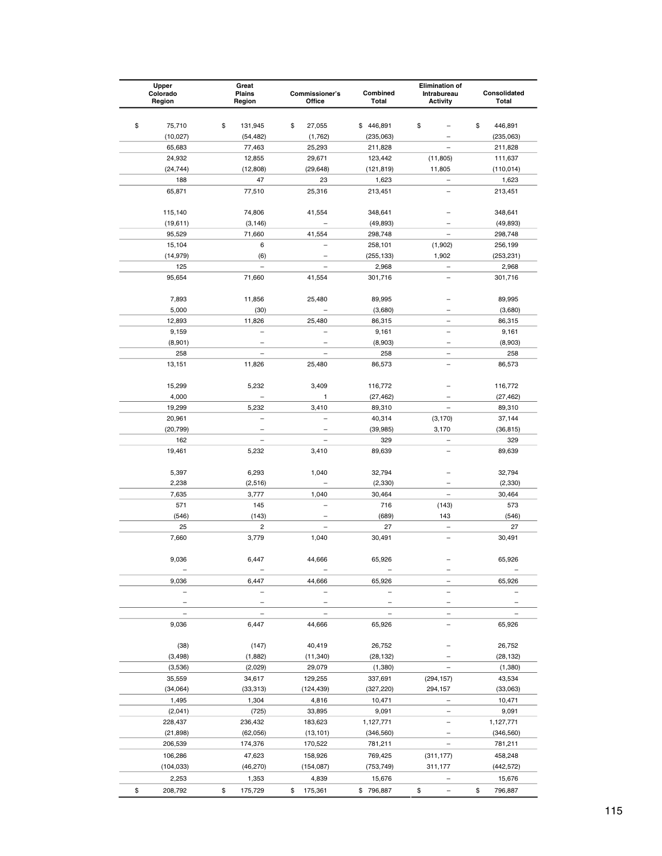| Upper<br>Colorado<br>Region | Great<br>Plains<br>Region        | Commissioner's<br>Office           | Combined<br>Total     | <b>Elimination of</b><br>Intrabureau<br><b>Activity</b> | Consolidated<br>Total              |
|-----------------------------|----------------------------------|------------------------------------|-----------------------|---------------------------------------------------------|------------------------------------|
|                             |                                  |                                    |                       |                                                         |                                    |
| \$<br>75,710                | \$<br>131,945                    | \$<br>27,055                       | \$446,891             | \$                                                      | \$<br>446,891                      |
| (10, 027)                   | (54, 482)                        | (1,762)                            | (235,063)             |                                                         | (235,063)                          |
| 65,683                      | 77,463                           | 25,293                             | 211,828               |                                                         | 211,828                            |
| 24,932                      | 12,855                           | 29,671                             | 123,442               | (11, 805)                                               | 111,637                            |
| (24, 744)                   | (12,808)                         | (29, 648)                          | (121, 819)            | 11,805                                                  | (110, 014)                         |
| 188                         | 47                               | 23                                 | 1,623                 |                                                         | 1,623                              |
| 65,871                      | 77,510                           | 25,316                             | 213,451               |                                                         | 213,451                            |
| 115,140                     | 74,806                           | 41,554                             | 348,641               |                                                         | 348,641                            |
| (19, 611)                   | (3, 146)                         |                                    | (49, 893)             |                                                         | (49, 893)                          |
| 95,529                      | 71,660                           | 41,554                             | 298,748               |                                                         | 298,748                            |
| 15,104                      | 6                                |                                    | 258,101               | (1,902)                                                 | 256,199                            |
| (14, 979)                   | (6)                              |                                    | (255, 133)            | 1,902                                                   | (253, 231)                         |
| 125                         | $\equiv$                         |                                    | 2,968                 |                                                         | 2,968                              |
| 95,654                      | 71,660                           | 41,554                             | 301,716               |                                                         | 301,716                            |
| 7,893                       | 11,856                           | 25,480                             | 89,995                |                                                         | 89,995                             |
| 5,000                       | (30)                             |                                    | (3,680)               |                                                         | (3,680)                            |
| 12,893                      | 11,826                           | 25,480                             | 86,315                |                                                         | 86,315                             |
| 9,159                       |                                  |                                    | 9,161                 |                                                         | 9,161                              |
| (8,901)                     |                                  | -                                  | (8,903)               |                                                         | (8,903)                            |
| 258                         |                                  |                                    | 258                   | $\overline{\phantom{0}}$                                | 258                                |
| 13,151                      | 11,826                           | 25,480                             | 86,573                |                                                         | 86,573                             |
| 15,299                      | 5,232                            | 3,409                              | 116,772               |                                                         | 116,772                            |
| 4,000                       |                                  | 1                                  | (27, 462)             |                                                         | (27, 462)                          |
| 19,299                      | 5,232                            | 3,410                              | 89,310                |                                                         | 89,310                             |
| 20,961                      |                                  |                                    | 40,314                | (3, 170)                                                | 37,144                             |
| (20, 799)                   |                                  |                                    | (39, 985)             | 3,170                                                   | (36, 815)                          |
| 162                         |                                  |                                    | 329                   | $\qquad \qquad -$                                       | 329                                |
| 19,461                      | 5,232                            | 3,410                              | 89,639                |                                                         | 89,639                             |
| 5,397                       | 6,293                            | 1,040                              | 32,794                |                                                         | 32,794                             |
| 2,238                       | (2,516)                          |                                    | (2, 330)              |                                                         | (2, 330)                           |
| 7,635                       | 3,777                            | 1,040                              | 30,464                |                                                         | 30,464                             |
| 571                         | 145                              |                                    | 716                   | (143)                                                   | 573                                |
| (546)                       | (143)                            |                                    | (689)                 | 143                                                     | (546)                              |
| 25<br>7,660                 | $\overline{\mathbf{c}}$<br>3,779 | 1,040                              | 27<br>30,491          |                                                         | 27<br>30,491                       |
|                             |                                  |                                    |                       |                                                         |                                    |
| 9,036                       | 6,447<br>$\qquad \qquad -$       | 44,666<br>$\overline{\phantom{0}}$ | 65,926                |                                                         | 65,926                             |
| 9,036                       | 6,447                            | 44,666                             | -<br>65,926           | Ξ                                                       | $\overline{\phantom{0}}$<br>65,926 |
|                             |                                  |                                    |                       |                                                         |                                    |
|                             |                                  |                                    |                       |                                                         |                                    |
| 9,036                       | 6,447                            | 44,666                             | 65,926                |                                                         | 65,926                             |
|                             |                                  |                                    |                       |                                                         |                                    |
| (38)                        | (147)                            | 40,419                             | 26,752                |                                                         | 26,752                             |
| (3, 498)                    | (1,882)                          | (11, 340)                          | (28, 132)             |                                                         | (28, 132)                          |
| (3,536)                     | (2,029)                          | 29,079                             | (1,380)               |                                                         | (1, 380)                           |
| 35,559                      | 34,617                           | 129,255                            | 337,691               | (294, 157)                                              | 43,534                             |
| (34,064)                    | (33, 313)                        | (124, 439)                         | (327, 220)            | 294,157                                                 | (33,063)                           |
| 1,495                       | 1,304                            | 4,816                              | 10,471                |                                                         | 10,471                             |
| (2,041)                     | (725)                            | 33,895                             | 9,091                 |                                                         | 9,091                              |
| 228,437                     | 236,432                          | 183,623                            | 1,127,771             |                                                         | 1,127,771                          |
| (21, 898)<br>206,539        | (62, 056)<br>174,376             | (13, 101)<br>170,522               | (346, 560)<br>781,211 |                                                         | (346, 560)<br>781,211              |
|                             |                                  |                                    |                       |                                                         |                                    |
| 106,286<br>(104, 033)       | 47,623<br>(46, 270)              | 158,926<br>(154, 087)              | 769,425<br>(753, 749) | (311, 177)<br>311,177                                   | 458,248<br>(442, 572)              |
|                             |                                  |                                    |                       |                                                         | 15,676                             |
| 2,253                       | 1,353                            | 4,839                              | 15,676                |                                                         |                                    |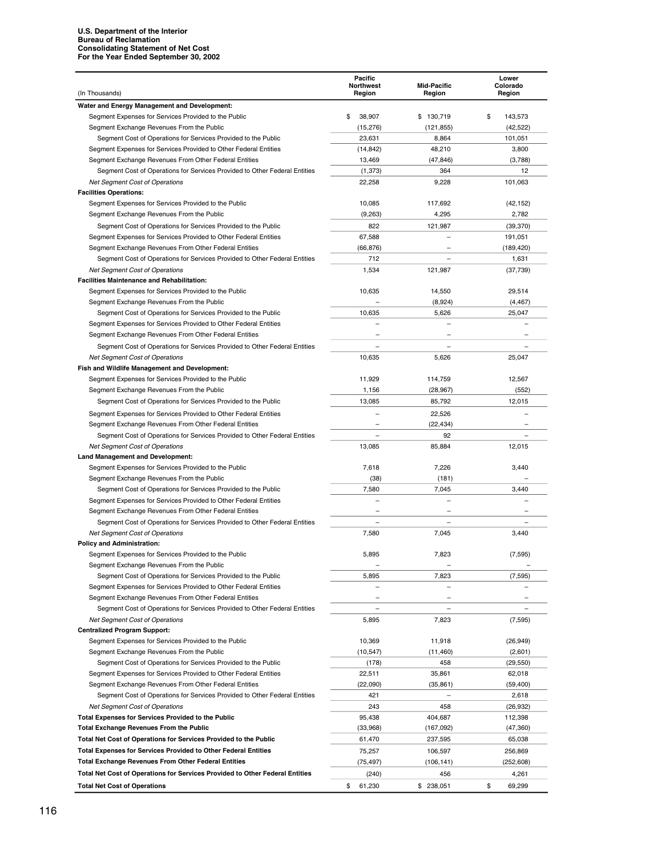| (In Thousands)                                                                                                                      | Pacific<br><b>Northwest</b><br>Region | <b>Mid-Pacific</b><br>Region | Lower<br>Colorado<br>Region |
|-------------------------------------------------------------------------------------------------------------------------------------|---------------------------------------|------------------------------|-----------------------------|
| Water and Energy Management and Development:                                                                                        |                                       |                              |                             |
| Segment Expenses for Services Provided to the Public                                                                                | \$<br>38,907                          | \$<br>130,719                | \$<br>143,573               |
| Segment Exchange Revenues From the Public                                                                                           | (15, 276)                             | (121, 855)                   | (42, 522)                   |
| Segment Cost of Operations for Services Provided to the Public                                                                      | 23,631                                | 8,864                        | 101,051                     |
| Segment Expenses for Services Provided to Other Federal Entities                                                                    | (14, 842)                             | 48,210                       | 3,800                       |
| Segment Exchange Revenues From Other Federal Entities                                                                               | 13,469                                | (47, 846)                    | (3,788)                     |
| Segment Cost of Operations for Services Provided to Other Federal Entities                                                          | (1, 373)                              | 364                          | 12                          |
| <b>Net Segment Cost of Operations</b>                                                                                               | 22,258                                | 9,228                        | 101,063                     |
| <b>Facilities Operations:</b>                                                                                                       |                                       |                              |                             |
| Segment Expenses for Services Provided to the Public                                                                                | 10,085                                | 117,692                      | (42, 152)                   |
| Segment Exchange Revenues From the Public                                                                                           | (9,263)                               | 4,295                        | 2,782                       |
| Segment Cost of Operations for Services Provided to the Public                                                                      | 822                                   | 121,987                      | (39, 370)                   |
| Segment Expenses for Services Provided to Other Federal Entities                                                                    | 67,588                                |                              | 191,051                     |
| Segment Exchange Revenues From Other Federal Entities<br>Segment Cost of Operations for Services Provided to Other Federal Entities | (66, 876)<br>712                      | $\qquad \qquad -$            | (189, 420)<br>1,631         |
| <b>Net Segment Cost of Operations</b>                                                                                               | 1,534                                 | 121,987                      | (37, 739)                   |
| <b>Facilities Maintenance and Rehabilitation:</b>                                                                                   |                                       |                              |                             |
| Segment Expenses for Services Provided to the Public                                                                                | 10,635                                | 14,550                       | 29,514                      |
| Segment Exchange Revenues From the Public                                                                                           |                                       | (8,924)                      | (4, 467)                    |
| Segment Cost of Operations for Services Provided to the Public                                                                      | 10,635                                | 5,626                        | 25,047                      |
| Segment Expenses for Services Provided to Other Federal Entities                                                                    |                                       |                              |                             |
| Segment Exchange Revenues From Other Federal Entities                                                                               |                                       |                              |                             |
| Segment Cost of Operations for Services Provided to Other Federal Entities                                                          |                                       |                              |                             |
| <b>Net Segment Cost of Operations</b>                                                                                               | 10,635                                | 5,626                        | 25,047                      |
| Fish and Wildlife Management and Development:                                                                                       |                                       |                              |                             |
| Segment Expenses for Services Provided to the Public                                                                                | 11,929                                | 114,759                      | 12.567                      |
| Segment Exchange Revenues From the Public                                                                                           | 1,156                                 | (28, 967)                    | (552)                       |
| Segment Cost of Operations for Services Provided to the Public                                                                      | 13,085                                | 85,792                       | 12,015                      |
| Segment Expenses for Services Provided to Other Federal Entities                                                                    |                                       | 22,526                       |                             |
| Segment Exchange Revenues From Other Federal Entities                                                                               |                                       | (22, 434)                    |                             |
| Segment Cost of Operations for Services Provided to Other Federal Entities                                                          |                                       | 92                           |                             |
| <b>Net Segment Cost of Operations</b>                                                                                               | 13,085                                | 85,884                       | 12,015                      |
| <b>Land Management and Development:</b>                                                                                             |                                       |                              |                             |
| Segment Expenses for Services Provided to the Public                                                                                | 7,618                                 | 7,226                        | 3,440                       |
| Segment Exchange Revenues From the Public                                                                                           | (38)                                  | (181)                        |                             |
| Segment Cost of Operations for Services Provided to the Public                                                                      | 7,580                                 | 7,045                        | 3,440                       |
| Segment Expenses for Services Provided to Other Federal Entities                                                                    |                                       |                              |                             |
| Segment Exchange Revenues From Other Federal Entities                                                                               |                                       |                              |                             |
| Segment Cost of Operations for Services Provided to Other Federal Entities                                                          |                                       |                              |                             |
| <b>Net Segment Cost of Operations</b>                                                                                               | 7,580                                 | 7,045                        | 3,440                       |
| <b>Policy and Administration:</b>                                                                                                   |                                       |                              |                             |
| Segment Expenses for Services Provided to the Public                                                                                | 5,895                                 | 7,823                        | (7, 595)                    |
| Segment Exchange Revenues From the Public                                                                                           |                                       |                              |                             |
| Segment Cost of Operations for Services Provided to the Public<br>Segment Expenses for Services Provided to Other Federal Entities  | 5,895                                 | 7,823                        | (7, 595)                    |
| Segment Exchange Revenues From Other Federal Entities                                                                               |                                       |                              |                             |
| Segment Cost of Operations for Services Provided to Other Federal Entities                                                          | $\overline{\phantom{0}}$              |                              |                             |
| <b>Net Segment Cost of Operations</b>                                                                                               | 5,895                                 | 7,823                        | (7, 595)                    |
| <b>Centralized Program Support:</b>                                                                                                 |                                       |                              |                             |
| Segment Expenses for Services Provided to the Public                                                                                | 10,369                                | 11,918                       | (26, 949)                   |
| Segment Exchange Revenues From the Public                                                                                           | (10, 547)                             | (11, 460)                    | (2,601)                     |
| Segment Cost of Operations for Services Provided to the Public                                                                      | (178)                                 | 458                          | (29,550)                    |
| Segment Expenses for Services Provided to Other Federal Entities                                                                    | 22,511                                | 35,861                       | 62,018                      |
| Segment Exchange Revenues From Other Federal Entities                                                                               | (22,090)                              | (35, 861)                    | (59, 400)                   |
| Segment Cost of Operations for Services Provided to Other Federal Entities                                                          | 421                                   |                              | 2,618                       |
| <b>Net Segment Cost of Operations</b>                                                                                               | 243                                   | 458                          | (26, 932)                   |
| <b>Total Expenses for Services Provided to the Public</b>                                                                           | 95,438                                | 404,687                      | 112,398                     |
| <b>Total Exchange Revenues From the Public</b>                                                                                      | (33,968)                              | (167,092)                    | (47, 360)                   |
| Total Net Cost of Operations for Services Provided to the Public                                                                    | 61,470                                | 237,595                      | 65,038                      |
| Total Expenses for Services Provided to Other Federal Entities                                                                      | 75,257                                | 106,597                      | 256,869                     |
| <b>Total Exchange Revenues From Other Federal Entities</b>                                                                          | (75, 497)                             | (106, 141)                   | (252, 608)                  |
| Total Net Cost of Operations for Services Provided to Other Federal Entities                                                        | (240)                                 | 456                          | 4,261                       |
| <b>Total Net Cost of Operations</b>                                                                                                 | \$<br>61,230                          | \$ 238,051                   | \$<br>69,299                |